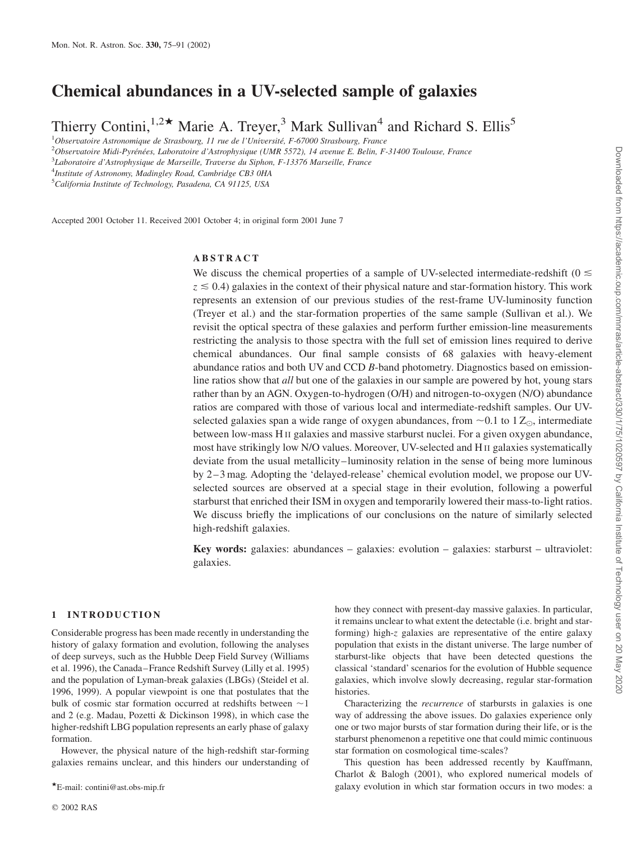# Chemical abundances in a UV-selected sample of galaxies

Thierry Contini,<sup>1,2\*</sup> Marie A. Treyer,<sup>3</sup> Mark Sullivan<sup>4</sup> and Richard S. Ellis<sup>5</sup>

 $10$ bservatoire Astronomique de Strasbourg, 11 rue de l'Université, F-67000 Strasbourg, France

<sup>2</sup>Observatoire Midi-Pyrénées, Laboratoire d'Astrophysique (UMR 5572), 14 avenue E. Belin, F-31400 Toulouse, France

<sup>3</sup>Laboratoire d'Astrophysique de Marseille, Traverse du Siphon, F-13376 Marseille, France

<sup>4</sup>Institute of Astronomy, Madingley Road, Cambridge CB3 0HA

<sup>5</sup>California Institute of Technology, Pasadena, CA 91125, USA

Accepted 2001 October 11. Received 2001 October 4; in original form 2001 June 7

# ABSTRACT

We discuss the chemical properties of a sample of UV-selected intermediate-redshift ( $0 \le$  $z \le 0.4$ ) galaxies in the context of their physical nature and star-formation history. This work represents an extension of our previous studies of the rest-frame UV-luminosity function (Treyer et al.) and the star-formation properties of the same sample (Sullivan et al.). We revisit the optical spectra of these galaxies and perform further emission-line measurements restricting the analysis to those spectra with the full set of emission lines required to derive chemical abundances. Our final sample consists of 68 galaxies with heavy-element abundance ratios and both UV and CCD B-band photometry. Diagnostics based on emissionline ratios show that all but one of the galaxies in our sample are powered by hot, young stars rather than by an AGN. Oxygen-to-hydrogen (O/H) and nitrogen-to-oxygen (N/O) abundance ratios are compared with those of various local and intermediate-redshift samples. Our UVselected galaxies span a wide range of oxygen abundances, from  $\sim 0.1$  to  $1 Z_{\odot}$ , intermediate between low-mass H II galaxies and massive starburst nuclei. For a given oxygen abundance, most have strikingly low N/O values. Moreover, UV-selected and H II galaxies systematically deviate from the usual metallicity–luminosity relation in the sense of being more luminous by 2–3 mag. Adopting the 'delayed-release' chemical evolution model, we propose our UVselected sources are observed at a special stage in their evolution, following a powerful starburst that enriched their ISM in oxygen and temporarily lowered their mass-to-light ratios. We discuss briefly the implications of our conclusions on the nature of similarly selected high-redshift galaxies.

Key words: galaxies: abundances – galaxies: evolution – galaxies: starburst – ultraviolet: galaxies.

# 1 INTRODUCTION

Considerable progress has been made recently in understanding the history of galaxy formation and evolution, following the analyses of deep surveys, such as the Hubble Deep Field Survey (Williams et al. 1996), the Canada–France Redshift Survey (Lilly et al. 1995) and the population of Lyman-break galaxies (LBGs) (Steidel et al. 1996, 1999). A popular viewpoint is one that postulates that the bulk of cosmic star formation occurred at redshifts between  $\sim$ 1 and 2 (e.g. Madau, Pozetti & Dickinson 1998), in which case the higher-redshift LBG population represents an early phase of galaxy formation.

However, the physical nature of the high-redshift star-forming galaxies remains unclear, and this hinders our understanding of

how they connect with present-day massive galaxies. In particular, it remains unclear to what extent the detectable (i.e. bright and starforming) high-z galaxies are representative of the entire galaxy population that exists in the distant universe. The large number of starburst-like objects that have been detected questions the classical 'standard' scenarios for the evolution of Hubble sequence galaxies, which involve slowly decreasing, regular star-formation histories.

Characterizing the recurrence of starbursts in galaxies is one way of addressing the above issues. Do galaxies experience only one or two major bursts of star formation during their life, or is the starburst phenomenon a repetitive one that could mimic continuous star formation on cosmological time-scales?

This question has been addressed recently by Kauffmann, Charlot & Balogh (2001), who explored numerical models of \*E-mail: contini@ast.obs-mip.fr example and the percent of two modes: a PE-mail: contini@ast.obs-mip.fr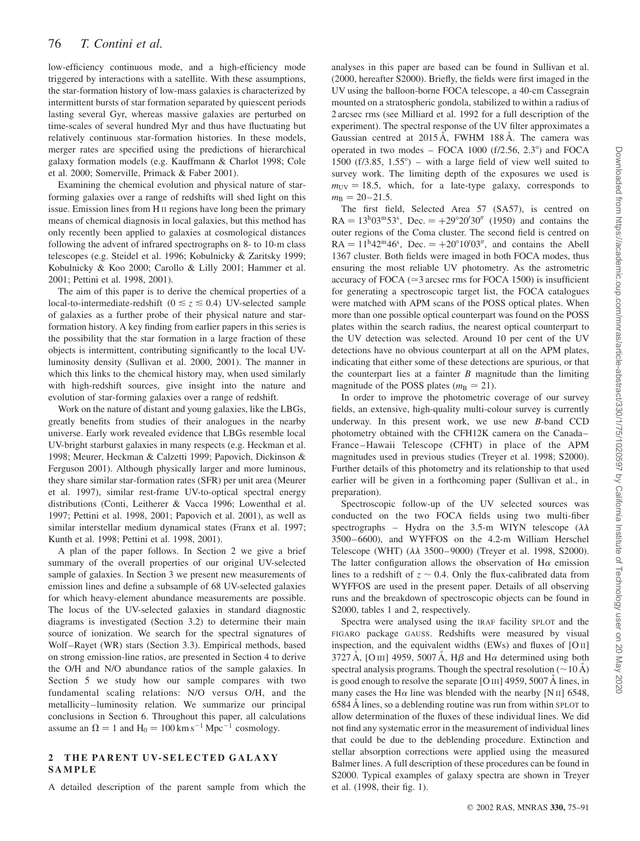low-efficiency continuous mode, and a high-efficiency mode triggered by interactions with a satellite. With these assumptions, the star-formation history of low-mass galaxies is characterized by intermittent bursts of star formation separated by quiescent periods lasting several Gyr, whereas massive galaxies are perturbed on time-scales of several hundred Myr and thus have fluctuating but relatively continuous star-formation histories. In these models, merger rates are specified using the predictions of hierarchical galaxy formation models (e.g. Kauffmann & Charlot 1998; Cole et al. 2000; Somerville, Primack & Faber 2001).

Examining the chemical evolution and physical nature of starforming galaxies over a range of redshifts will shed light on this issue. Emission lines from H II regions have long been the primary means of chemical diagnosis in local galaxies, but this method has only recently been applied to galaxies at cosmological distances following the advent of infrared spectrographs on 8- to 10-m class telescopes (e.g. Steidel et al. 1996; Kobulnicky & Zaritsky 1999; Kobulnicky & Koo 2000; Carollo & Lilly 2001; Hammer et al. 2001; Pettini et al. 1998, 2001).

The aim of this paper is to derive the chemical properties of a local-to-intermediate-redshift ( $0 \le z \le 0.4$ ) UV-selected sample of galaxies as a further probe of their physical nature and starformation history. A key finding from earlier papers in this series is the possibility that the star formation in a large fraction of these objects is intermittent, contributing significantly to the local UVluminosity density (Sullivan et al. 2000, 2001). The manner in which this links to the chemical history may, when used similarly with high-redshift sources, give insight into the nature and evolution of star-forming galaxies over a range of redshift.

Work on the nature of distant and young galaxies, like the LBGs, greatly benefits from studies of their analogues in the nearby universe. Early work revealed evidence that LBGs resemble local UV-bright starburst galaxies in many respects (e.g. Heckman et al. 1998; Meurer, Heckman & Calzetti 1999; Papovich, Dickinson & Ferguson 2001). Although physically larger and more luminous, they share similar star-formation rates (SFR) per unit area (Meurer et al. 1997), similar rest-frame UV-to-optical spectral energy distributions (Conti, Leitherer & Vacca 1996; Lowenthal et al. 1997; Pettini et al. 1998, 2001; Papovich et al. 2001), as well as similar interstellar medium dynamical states (Franx et al. 1997; Kunth et al. 1998; Pettini et al. 1998, 2001).

A plan of the paper follows. In Section 2 we give a brief summary of the overall properties of our original UV-selected sample of galaxies. In Section 3 we present new measurements of emission lines and define a subsample of 68 UV-selected galaxies for which heavy-element abundance measurements are possible. The locus of the UV-selected galaxies in standard diagnostic diagrams is investigated (Section 3.2) to determine their main source of ionization. We search for the spectral signatures of Wolf–Rayet (WR) stars (Section 3.3). Empirical methods, based on strong emission-line ratios, are presented in Section 4 to derive the O/H and N/O abundance ratios of the sample galaxies. In Section 5 we study how our sample compares with two fundamental scaling relations: N/O versus O/H, and the metallicity–luminosity relation. We summarize our principal conclusions in Section 6. Throughout this paper, all calculations assume an  $\Omega = 1$  and  $H_0 = 100 \text{ km s}^{-1} \text{ Mpc}^{-1}$  cosmology.

### 2 THE PARENT UV-SELECTED GALAXY SAMPLE

A detailed description of the parent sample from which the

analyses in this paper are based can be found in Sullivan et al. (2000, hereafter S2000). Briefly, the fields were first imaged in the UV using the balloon-borne FOCA telescope, a 40-cm Cassegrain mounted on a stratospheric gondola, stabilized to within a radius of 2 arcsec rms (see Milliard et al. 1992 for a full description of the experiment). The spectral response of the UV filter approximates a Gaussian centred at  $2015 \text{ Å}$ , FWHM 188 Å. The camera was operated in two modes – FOCA  $1000$  (f/2.56, 2.3°) and FOCA 1500 (f/3.85, 1.55 $^{\circ}$ ) – with a large field of view well suited to survey work. The limiting depth of the exposures we used is  $m_{UV}$  = 18.5, which, for a late-type galaxy, corresponds to  $m_{\rm B} = 20 - 21.5.$ 

The first field, Selected Area 57 (SA57), is centred on  $RA = 13^{h}03^{m}53^{s}$ , Dec. =  $+29^{\circ}20'30''$  (1950) and contains the outer regions of the Coma cluster. The second field is centred on  $RA = 11<sup>h</sup>42<sup>m</sup>46<sup>s</sup>$ , Dec.  $= +20<sup>o</sup>10<sup>o</sup>03<sup>n</sup>$ , and contains the Abell 1367 cluster. Both fields were imaged in both FOCA modes, thus ensuring the most reliable UV photometry. As the astrometric accuracy of FOCA ( $\approx$ 3 arcsec rms for FOCA 1500) is insufficient for generating a spectroscopic target list, the FOCA catalogues were matched with APM scans of the POSS optical plates. When more than one possible optical counterpart was found on the POSS plates within the search radius, the nearest optical counterpart to the UV detection was selected. Around 10 per cent of the UV detections have no obvious counterpart at all on the APM plates, indicating that either some of these detections are spurious, or that the counterpart lies at a fainter  $B$  magnitude than the limiting magnitude of the POSS plates ( $m<sub>B</sub> \approx 21$ ).

In order to improve the photometric coverage of our survey fields, an extensive, high-quality multi-colour survey is currently underway. In this present work, we use new B-band CCD photometry obtained with the CFH12K camera on the Canada– France–Hawaii Telescope (CFHT) in place of the APM magnitudes used in previous studies (Treyer et al. 1998; S2000). Further details of this photometry and its relationship to that used earlier will be given in a forthcoming paper (Sullivan et al., in preparation).

Spectroscopic follow-up of the UV selected sources was conducted on the two FOCA fields using two multi-fiber spectrographs – Hydra on the 3.5-m WIYN telescope  $(\lambda \lambda)$ 3500–6600), and WYFFOS on the 4.2-m William Herschel Telescope (WHT)  $(\lambda \lambda 3500 - 9000)$  (Treyer et al. 1998, S2000). The latter configuration allows the observation of  $H\alpha$  emission lines to a redshift of  $z \sim 0.4$ . Only the flux-calibrated data from WYFFOS are used in the present paper. Details of all observing runs and the breakdown of spectroscopic objects can be found in S2000, tables 1 and 2, respectively.

Spectra were analysed using the IRAF facility SPLOT and the FIGARO package GAUSS. Redshifts were measured by visual inspection, and the equivalent widths (EWs) and fluxes of  $[O II]$ 3727 A, [O III] 4959, 5007 A, H $\beta$  and H $\alpha$  determined using both spectral analysis programs. Though the spectral resolution  $(\sim 10 \text{ Å})$ is good enough to resolve the separate  $[OIII]$  4959, 5007 Å lines, in many cases the H $\alpha$  line was blended with the nearby [N II] 6548, 6584 Å lines, so a deblending routine was run from within SPLOT to allow determination of the fluxes of these individual lines. We did not find any systematic error in the measurement of individual lines that could be due to the deblending procedure. Extinction and stellar absorption corrections were applied using the measured Balmer lines. A full description of these procedures can be found in S2000. Typical examples of galaxy spectra are shown in Treyer et al. (1998, their fig. 1).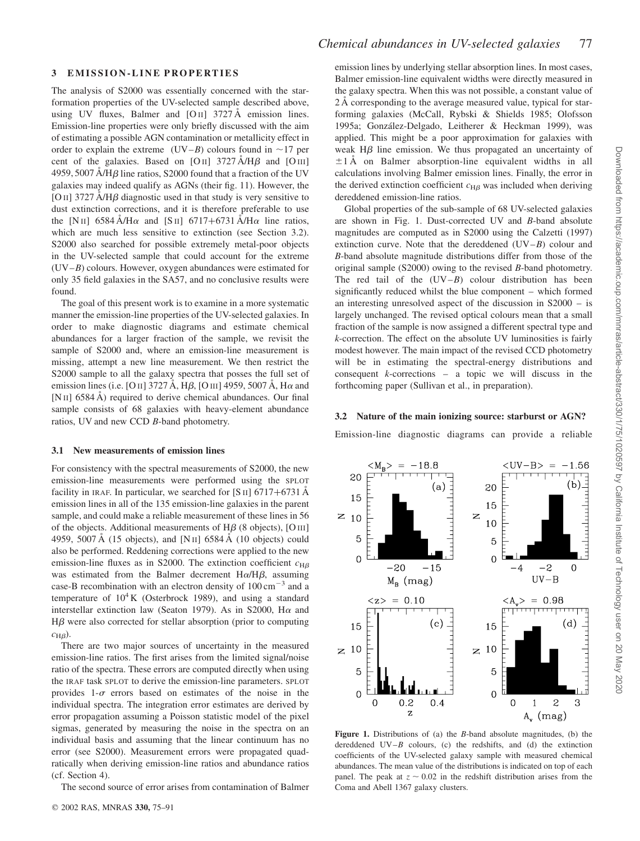$< UV-B> = -1.56$ 

 $-2$ 

 $UV-B$ 

 $\langle A_{\nu} \rangle = 0.98$ 

 $\mathbf{1}$  $\overline{c}$ 

 $A_{v}$  (mag)

 $(b)$ 

 $\overline{0}$ 

 $(d)$ 

3

## 3 EMISSION-LINE PROPERTIES

The analysis of S2000 was essentially concerned with the starformation properties of the UV-selected sample described above, using UV fluxes, Balmer and  $[OII]$  3727 Å emission lines. Emission-line properties were only briefly discussed with the aim of estimating a possible AGN contamination or metallicity effect in order to explain the extreme (UV–B) colours found in  $\sim$ 17 per cent of the galaxies. Based on [O II]  $3727 \text{ Å/H}\beta$  and [O III] 4959, 5007  $\AA$ /H $\beta$  line ratios, S2000 found that a fraction of the UV galaxies may indeed qualify as AGNs (their fig. 11). However, the [O II] 3727  $\AA$ /H $\beta$  diagnostic used in that study is very sensitive to dust extinction corrections, and it is therefore preferable to use the [N II] 6584 Å/H $\alpha$  and [S II] 6717+6731 Å/H $\alpha$  line ratios, which are much less sensitive to extinction (see Section 3.2). S2000 also searched for possible extremely metal-poor objects in the UV-selected sample that could account for the extreme (UV–B) colours. However, oxygen abundances were estimated for only 35 field galaxies in the SA57, and no conclusive results were found.

The goal of this present work is to examine in a more systematic manner the emission-line properties of the UV-selected galaxies. In order to make diagnostic diagrams and estimate chemical abundances for a larger fraction of the sample, we revisit the sample of S2000 and, where an emission-line measurement is missing, attempt a new line measurement. We then restrict the S2000 sample to all the galaxy spectra that posses the full set of emission lines (i.e. [O II] 3727 Å, H $\beta$ , [O III] 4959, 5007 Å, H $\alpha$  and [N<sub>II</sub>] 6584 A<sup> $\AA$ </sup>) required to derive chemical abundances. Our final sample consists of 68 galaxies with heavy-element abundance ratios, UV and new CCD B-band photometry.

#### 3.1 New measurements of emission lines

For consistency with the spectral measurements of S2000, the new emission-line measurements were performed using the SPLOT facility in IRAF. In particular, we searched for  $[S II]$  6717+6731 A emission lines in all of the 135 emission-line galaxies in the parent sample, and could make a reliable measurement of these lines in 56 of the objects. Additional measurements of  $H\beta$  (8 objects), [O III] 4959, 5007 Å (15 objects), and [N II] 6584 Å (10 objects) could also be performed. Reddening corrections were applied to the new emission-line fluxes as in S2000. The extinction coefficient  $c_{\text{H}\beta}$ was estimated from the Balmer decrement  $H\alpha/H\beta$ , assuming case-B recombination with an electron density of  $100 \text{ cm}^{-3}$  and a temperature of  $10^4$ K (Osterbrock 1989), and using a standard interstellar extinction law (Seaton 1979). As in S2000, H $\alpha$  and  $H\beta$  were also corrected for stellar absorption (prior to computing  $c_{\text{H}\beta}$ ).

There are two major sources of uncertainty in the measured emission-line ratios. The first arises from the limited signal/noise ratio of the spectra. These errors are computed directly when using the IRAF task SPLOT to derive the emission-line parameters. SPLOT provides 1- $\sigma$  errors based on estimates of the noise in the individual spectra. The integration error estimates are derived by error propagation assuming a Poisson statistic model of the pixel sigmas, generated by measuring the noise in the spectra on an individual basis and assuming that the linear continuum has no error (see S2000). Measurement errors were propagated quadratically when deriving emission-line ratios and abundance ratios (cf. Section 4).

The second source of error arises from contamination of Balmer

emission lines by underlying stellar absorption lines. In most cases, Balmer emission-line equivalent widths were directly measured in the galaxy spectra. When this was not possible, a constant value of 2 A corresponding to the average measured value, typical for starforming galaxies (McCall, Rybski & Shields 1985; Olofsson 1995a; González-Delgado, Leitherer & Heckman 1999), was applied. This might be a poor approximation for galaxies with weak  $H\beta$  line emission. We thus propagated an uncertainty of  $\pm 1$  Å on Balmer absorption-line equivalent widths in all calculations involving Balmer emission lines. Finally, the error in the derived extinction coefficient  $c_{\text{H}\beta}$  was included when deriving dereddened emission-line ratios.

Global properties of the sub-sample of 68 UV-selected galaxies are shown in Fig. 1. Dust-corrected UV and B-band absolute magnitudes are computed as in S2000 using the Calzetti (1997) extinction curve. Note that the dereddened  $(UV-B)$  colour and B-band absolute magnitude distributions differ from those of the original sample (S2000) owing to the revised B-band photometry. The red tail of the  $(UV-B)$  colour distribution has been significantly reduced whilst the blue component – which formed an interesting unresolved aspect of the discussion in S2000 – is largely unchanged. The revised optical colours mean that a small fraction of the sample is now assigned a different spectral type and k-correction. The effect on the absolute UV luminosities is fairly modest however. The main impact of the revised CCD photometry will be in estimating the spectral-energy distributions and consequent  $k$ -corrections – a topic we will discuss in the forthcoming paper (Sullivan et al., in preparation).

#### 3.2 Nature of the main ionizing source: starburst or AGN?

Emission-line diagnostic diagrams can provide a reliable

20

15

5

 $\overline{0}$ 

15

5

 $\overline{0}$ 

 $\mathbf 0$ 

 $\geq 10$ 

 $-4$ 

 $\overline{z}$ 10

 $(a)$ 

 $-15$ 

 $(c)$ 

 $0.4$ 

 $\langle M_{\rm B} \rangle = -18.8$ 

 $-20$ 

 $< z > 0.10$ 

 $M_B$  (mag)

 $0.2$ 

 $\overline{z}$ 

20

15

5

 $\overline{0}$ 

15

5

 $\Omega$ 

0

 $\geq 10$ 

 $\overline{z}$  10

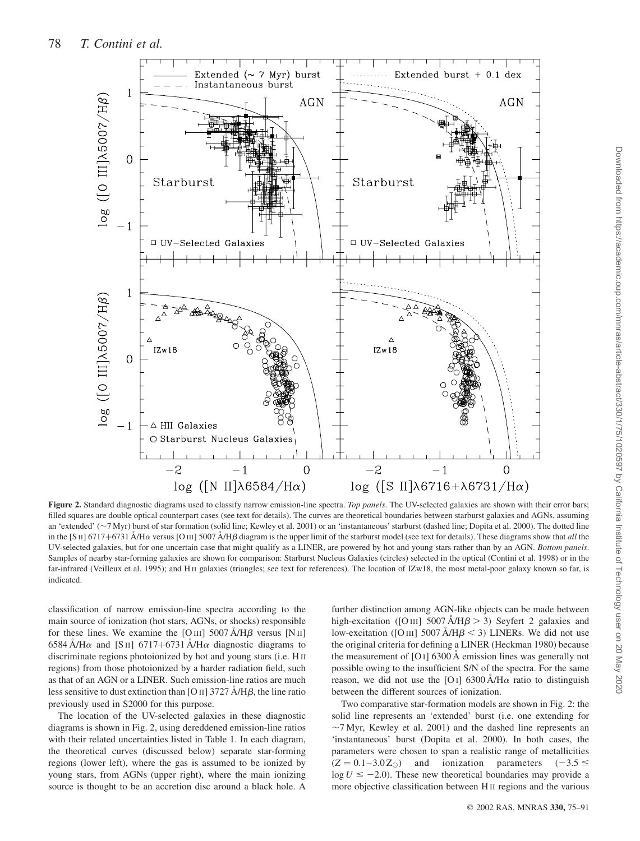

Figure 2. Standard diagnostic diagrams used to classify narrow emission-line spectra. Top panels. The UV-selected galaxies are shown with their error bars; filled squares are double optical counterpart cases (see text for details). The curves are theoretical boundaries between starburst galaxies and AGNs, assuming an 'extended' (~7 Myr) burst of star formation (solid line; Kewley et al. 2001) or an 'instantaneous' starburst (dashed line; Dopita et al. 2000). The dotted line in the [S II] 6717+6731  $\AA$ /H $\alpha$  versus [O III] 5007  $\AA$ /H $\beta$  diagram is the upper limit of the starburst model (see text for details). These diagrams show that all the UV-selected galaxies, but for one uncertain case that might qualify as a LINER, are powered by hot and young stars rather than by an AGN. Bottom panels. Samples of nearby star-forming galaxies are shown for comparison: Starburst Nucleus Galaxies (circles) selected in the optical (Contini et al. 1998) or in the far-infrared (Veilleux et al. 1995); and H II galaxies (triangles; see text for references). The location of IZw18, the most metal-poor galaxy known so far, is indicated.

classification of narrow emission-line spectra according to the main source of ionization (hot stars, AGNs, or shocks) responsible for these lines. We examine the [O III] 5007  $\AA/\text{H}\beta$  versus [N II] 6584 A/H $\alpha$  and [S II] 6717+6731 A/H $\alpha$  diagnostic diagrams to discriminate regions photoionized by hot and young stars (i.e. H II regions) from those photoionized by a harder radiation field, such as that of an AGN or a LINER. Such emission-line ratios are much less sensitive to dust extinction than [O II] 3727  $\AA$ /H $\beta$ , the line ratio previously used in S2000 for this purpose.

The location of the UV-selected galaxies in these diagnostic diagrams is shown in Fig. 2, using dereddened emission-line ratios with their related uncertainties listed in Table 1. In each diagram, the theoretical curves (discussed below) separate star-forming regions (lower left), where the gas is assumed to be ionized by young stars, from AGNs (upper right), where the main ionizing source is thought to be an accretion disc around a black hole. A

further distinction among AGN-like objects can be made between high-excitation ([O III] 5007  $\text{A/H}\beta$  > 3) Seyfert 2 galaxies and low-excitation ([O III] 5007  $\rm \AA/ \rm H\beta$  < 3) LINERs. We did not use the original criteria for defining a LINER (Heckman 1980) because the measurement of  $[O I]$  6300 Å emission lines was generally not possible owing to the insufficient S/N of the spectra. For the same reason, we did not use the [O I] 6300  $\AA$ /H $\alpha$  ratio to distinguish between the different sources of ionization.

Two comparative star-formation models are shown in Fig. 2: the solid line represents an 'extended' burst (i.e. one extending for  $\sim$ 7 Myr, Kewley et al. 2001) and the dashed line represents an 'instantaneous' burst (Dopita et al. 2000). In both cases, the parameters were chosen to span a realistic range of metallicities  $(Z = 0.1 - 3.0 Z_{\odot})$  and ionization parameters  $(-3.5 \le$  $\log U \le -2.0$ ). These new theoretical boundaries may provide a more objective classification between H II regions and the various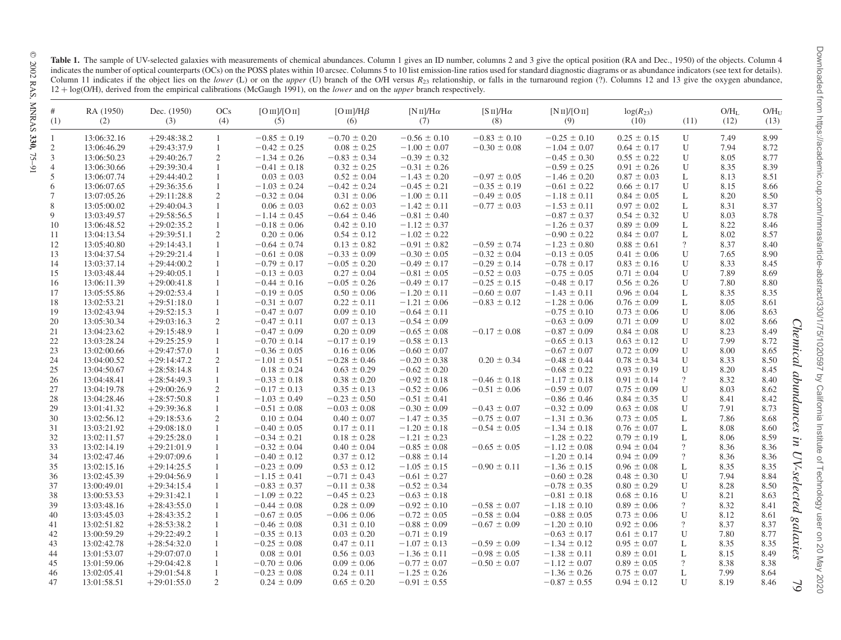Table 1. The sample of UV-selected galaxies with measurements of chemical abundances. Column 1 gives an ID number, columns 2 and 3 give the optical position (RA and Dec., 1950) of the objects. Column 4 indicates the number of optical counterparts (OCs) on the POSS plates within 10 arcsec. Columns 5 to 10 list emission-line ratios used for standard diagnostic diagrams or as abundance indicators (see text for details). Column 11 indicates if the object lies on the lower (L) or on the upper (U) branch of the O/H versus  $R_{23}$  relationship, or falls in the turnaround region (?). Columns 12 and 13 give the oxygen abundance,  $12 + \log(O/H)$ , derived from the empirical calibrations (McGaugh 1991), on the *lower* and on the *upper* branch respectively.

| #<br>(1)       | RA (1950)<br>(2) | Dec. (1950)<br>(3) | OCs<br>(4)     | [O <sub>III</sub> ]/[O <sub>II</sub> ]<br>(5) | $[O\,\text{III}] / H\beta$<br>(6) | $[N II]/H\alpha$<br>(7) | $[S \text{ II}]/H\alpha$<br>(8) | [N <sub>II</sub> ]/[O <sub>II</sub> ]<br>(9) | $log(R_{23})$<br>(10) | (11)           | $O/H_L$<br>(12) | O/H <sub>II</sub><br>(13) |
|----------------|------------------|--------------------|----------------|-----------------------------------------------|-----------------------------------|-------------------------|---------------------------------|----------------------------------------------|-----------------------|----------------|-----------------|---------------------------|
| 1              | 13:06:32.16      | $+29:48:38.2$      | $\mathbf{1}$   | $-0.85 \pm 0.19$                              | $-0.70 \pm 0.20$                  | $-0.56 \pm 0.10$        | $-0.83 \pm 0.10$                | $-0.25 \pm 0.10$                             | $0.25 \pm 0.15$       | U              | 7.49            | 8.99                      |
| 2              | 13:06:46.29      | $+29:43:37.9$      | $\mathbf{1}$   | $-0.42 \pm 0.25$                              | $0.08 \pm 0.25$                   | $-1.00 \pm 0.07$        | $-0.30 \pm 0.08$                | $-1.04 \pm 0.07$                             | $0.64 \pm 0.17$       | U              | 7.94            | 8.72                      |
| 3              | 13:06:50.23      | $+29:40:26.7$      | $\overline{2}$ | $-1.34 \pm 0.26$                              | $-0.83 \pm 0.34$                  | $-0.39 \pm 0.32$        |                                 | $-0.45 \pm 0.30$                             | $0.55 \pm 0.22$       | $\mathbf{U}$   | 8.05            | 8.77                      |
| $\overline{4}$ | 13:06:30.66      | $+29:39:30.4$      | $\mathbf{1}$   | $-0.41 \pm 0.18$                              | $0.32 \pm 0.25$                   | $-0.31 \pm 0.26$        |                                 | $-0.59 \pm 0.25$                             | $0.91 \pm 0.26$       | $\mathbf{U}$   | 8.35            | 8.39                      |
| 5              | 13:06:07.74      | $+29:44:40.2$      |                | $0.03 \pm 0.03$                               | $0.52 \pm 0.04$                   | $-1.43 \pm 0.20$        | $-0.97 \pm 0.05$                | $-1.46 \pm 0.20$                             | $0.87 \pm 0.03$       | $\mathbf{L}$   | 8.13            | 8.51                      |
| 6              | 13:06:07.65      | $+29:36:35.6$      | $\mathbf{1}$   | $-1.03 \pm 0.24$                              | $-0.42 \pm 0.24$                  | $-0.45 \pm 0.21$        | $-0.35 \pm 0.19$                | $-0.61 \pm 0.22$                             | $0.66 \pm 0.17$       | $\mathbf{U}$   | 8.15            | 8.66                      |
| 7              | 13:07:05.26      | $+29:11:28.8$      | $\overline{2}$ | $-0.32 \pm 0.04$                              | $0.31 \pm 0.06$                   | $-1.00 \pm 0.11$        | $-0.49 \pm 0.05$                | $-1.18 \pm 0.11$                             | $0.84 \pm 0.05$       | $\mathbf{L}$   | 8.20            | 8.50                      |
| $\,$ 8 $\,$    | 13:05:00.02      | $+29:40:04.3$      | $\mathbf{1}$   | $0.06 \pm 0.03$                               | $0.62 \pm 0.03$                   | $-1.42 \pm 0.11$        | $-0.77 \pm 0.03$                | $-1.53 \pm 0.11$                             | $0.97 \pm 0.02$       | L              | 8.31            | 8.37                      |
| 9              | 13:03:49.57      | $+29:58:56.5$      | $\mathbf{1}$   | $-1.14 \pm 0.45$                              | $-0.64 \pm 0.46$                  | $-0.81 \pm 0.40$        |                                 | $-0.87 \pm 0.37$                             | $0.54 \pm 0.32$       | $\mathbf{U}$   | 8.03            | 8.78                      |
| 10             | 13:06:48.52      | $+29:02:35.2$      | $\mathbf{1}$   | $-0.18 \pm 0.06$                              | $0.42 \pm 0.10$                   | $-1.12 \pm 0.37$        |                                 | $-1.26 \pm 0.37$                             | $0.89 \pm 0.09$       | L              | 8.22            | 8.46                      |
| 11             | 13:04:13.54      | $+29:39:51.1$      | $\overline{2}$ | $0.20 \pm 0.06$                               | $0.54 \pm 0.12$                   | $-1.02 \pm 0.22$        |                                 | $-0.90 \pm 0.22$                             | $0.84 \pm 0.07$       | L              | 8.02            | 8.57                      |
| 12             | 13:05:40.80      | $+29:14:43.1$      | $\mathbf{1}$   | $-0.64 \pm 0.74$                              | $0.13 \pm 0.82$                   | $-0.91 \pm 0.82$        | $-0.59 \pm 0.74$                | $-1.23 \pm 0.80$                             | $0.88 \pm 0.61$       | $\gamma$       | 8.37            | 8.40                      |
| 13             | 13:04:37.54      | $+29:29:21.4$      | $\mathbf{1}$   | $-0.61 \pm 0.08$                              | $-0.33 \pm 0.09$                  | $-0.30 \pm 0.05$        | $-0.32 \pm 0.04$                | $-0.13 \pm 0.05$                             | $0.41 \pm 0.06$       | $\mathbf{U}$   | 7.65            | 8.90                      |
| 14             | 13:03:37.14      | $+29:44:00.2$      | $\mathbf{1}$   | $-0.79 \pm 0.17$                              | $-0.05 \pm 0.20$                  | $-0.49 \pm 0.17$        | $-0.29 \pm 0.14$                | $-0.78 \pm 0.17$                             | $0.83 \pm 0.16$       | $\overline{U}$ | 8.33            | 8.45                      |
| 15             | 13:03:48.44      | $+29:40:05.1$      | $\mathbf{1}$   | $-0.13 \pm 0.03$                              | $0.27 \pm 0.04$                   | $-0.81 \pm 0.05$        | $-0.52 \pm 0.03$                | $-0.75 \pm 0.05$                             | $0.71 \pm 0.04$       | $\overline{U}$ | 7.89            | 8.69                      |
| 16             | 13:06:11.39      | $+29:00:41.8$      | $\mathbf{1}$   | $-0.44 \pm 0.16$                              | $-0.05 \pm 0.26$                  | $-0.49 \pm 0.17$        | $-0.25 \pm 0.15$                | $-0.48 \pm 0.17$                             | $0.56 \pm 0.26$       | $\mathbf{U}$   | 7.80            | 8.80                      |
| 17             | 13:05:55.86      | $+29:02:53.4$      | $\mathbf{1}$   | $-0.19 \pm 0.05$                              | $0.50 \pm 0.06$                   | $-1.20 \pm 0.11$        | $-0.60 \pm 0.07$                | $-1.43 \pm 0.11$                             | $0.96 \pm 0.04$       | $\mathbf{L}$   | 8.35            | 8.35                      |
| 18             | 13:02:53.21      | $+29:51:18.0$      | $\mathbf{1}$   | $-0.31 \pm 0.07$                              | $0.22 \pm 0.11$                   | $-1.21 \pm 0.06$        | $-0.83 \pm 0.12$                | $-1.28 \pm 0.06$                             | $0.76 \pm 0.09$       | $\mathbf{L}$   | 8.05            | 8.61                      |
| 19             | 13:02:43.94      | $+29:52:15.3$      | $\mathbf{1}$   | $-0.47 \pm 0.07$                              | $0.09 \pm 0.10$                   | $-0.64 \pm 0.11$        |                                 | $-0.75 \pm 0.10$                             | $0.73 \pm 0.06$       | U              | 8.06            | 8.63                      |
| 20             | 13:05:30.34      | $+29:03:16.3$      | 2              | $-0.47 \pm 0.11$                              | $0.07 \pm 0.13$                   | $-0.54 \pm 0.09$        |                                 | $-0.63 \pm 0.09$                             | $0.71 \pm 0.09$       | $\mathbf{U}$   | 8.02            | 8.66                      |
| 21             | 13:04:23.62      | $+29:15:48.9$      | $\mathbf{1}$   | $-0.47 \pm 0.09$                              | $0.20 \pm 0.09$                   | $-0.65 \pm 0.08$        | $-0.17 \pm 0.08$                | $-0.87 \pm 0.09$                             | $0.84 \pm 0.08$       | $\mathbf{U}$   | 8.23            | 8.49                      |
| 22             | 13:03:28.24      | $+29:25:25.9$      | $\mathbf{1}$   | $-0.70 \pm 0.14$                              | $-0.17 \pm 0.19$                  | $-0.58 \pm 0.13$        |                                 | $-0.65 \pm 0.13$                             | $0.63 \pm 0.12$       | $\overline{U}$ | 7.99            | 8.72                      |
| 23             | 13:02:00.66      | $+29:47:57.0$      | 1              | $-0.36 \pm 0.05$                              | $0.16 \pm 0.06$                   | $-0.60 \pm 0.07$        |                                 | $-0.67 \pm 0.07$                             | $0.72 \pm 0.09$       | U              | 8.00            | Chemical<br>8.65          |
| 24             | 13:04:00.52      | $+29:14:47.2$      | 2              | $-1.01 \pm 0.51$                              | $-0.28 \pm 0.46$                  | $-0.20 \pm 0.38$        | $0.20 \pm 0.34$                 | $-0.48 \pm 0.44$                             | $0.78 \pm 0.34$       | $\overline{U}$ | 8.33            | 8.50                      |
| 25             | 13:04:50.67      | $+28:58:14.8$      | $\mathbf{1}$   | $0.18 \pm 0.24$                               | $0.63 \pm 0.29$                   | $-0.62 \pm 0.20$        |                                 | $-0.68 \pm 0.22$                             | $0.93 \pm 0.19$       | $\mathbf{U}$   | 8.20            | 8.45                      |
| 26             | 13:04:48.41      | $+28:54:49.3$      | $\mathbf{1}$   | $-0.33 \pm 0.18$                              | $0.38 \pm 0.20$                   | $-0.92 \pm 0.18$        | $-0.46 \pm 0.18$                | $-1.17 \pm 0.18$                             | $0.91 \pm 0.14$       | $\overline{?}$ | 8.32            | 8.40                      |
| 27             | 13:04:19.78      | $+29:00:26.9$      | 2              | $-0.17 \pm 0.13$                              | $0.35 \pm 0.13$                   | $-0.52 \pm 0.06$        | $-0.51 \pm 0.06$                | $-0.59 \pm 0.07$                             | $0.75 \pm 0.09$       | $\mathbf{U}$   | 8.03            | abundances<br>8.62        |
| 28             | 13:04:28.46      | $+28:57:50.8$      | $\mathbf{1}$   | $-1.03 \pm 0.49$                              | $-0.23 \pm 0.50$                  | $-0.51 \pm 0.41$        |                                 | $-0.86 \pm 0.46$                             | $0.84 \pm 0.35$       | $\mathbf{U}$   | 8.41            | 8.42                      |
| 29             | 13:01:41.32      | $+29:39:36.8$      | $\mathbf{1}$   | $-0.51 \pm 0.08$                              | $-0.03 \pm 0.08$                  | $-0.30 \pm 0.09$        | $-0.43 \pm 0.07$                | $-0.32 \pm 0.09$                             | $0.63 \pm 0.08$       | $\mathbf{U}$   | 7.91            | 8.73                      |
| 30             | 13:02:56.12      | $+29:18:53.6$      | 2              | $0.10 \pm 0.04$                               | $0.40 \pm 0.07$                   | $-1.47 \pm 0.35$        | $-0.75 \pm 0.07$                | $-1.31 \pm 0.36$                             | $0.73 \pm 0.05$       | L              | 7.86            | 8.68                      |
| 31             | 13:03:21.92      | $+29:08:18.0$      | $\mathbf{1}$   | $-0.40 \pm 0.05$                              | $0.17 \pm 0.11$                   | $-1.20 \pm 0.18$        | $-0.54 \pm 0.05$                | $-1.34 \pm 0.18$                             | $0.76 \pm 0.07$       | L              | 8.08            | 8.60                      |
| 32             | 13:02:11.57      | $+29:25:28.0$      | $\mathbf{1}$   | $-0.34 \pm 0.21$                              | $0.18 \pm 0.28$                   | $-1.21 \pm 0.23$        |                                 | $-1.28 \pm 0.22$                             | $0.79 \pm 0.19$       | L              | 8.06            | 8.59<br>Ξ.                |
| 33             | 13:02:14.19      | $+29:21:01.9$      | $\mathbf{1}$   | $-0.32 \pm 0.04$                              | $0.40 \pm 0.04$                   | $-0.85 \pm 0.08$        | $-0.65 \pm 0.05$                | $-1.12 \pm 0.08$                             | $0.94 \pm 0.04$       | $\gamma$       | 8.36            | 8.36                      |
| 34             | 13:02:47.46      | $+29:07:09.6$      | -1             | $-0.40 \pm 0.12$                              | $0.37 \pm 0.12$                   | $-0.88 \pm 0.14$        |                                 | $-1.20 \pm 0.14$                             | $0.94 \pm 0.09$       | $\gamma$       | 8.36            | UV-selected<br>8.36       |
| 35             | 13:02:15.16      | $+29:14:25.5$      | $\mathbf{1}$   | $-0.23 \pm 0.09$                              | $0.53 \pm 0.12$                   | $-1.05 \pm 0.15$        | $-0.90 \pm 0.11$                | $-1.36 \pm 0.15$                             | $0.96 \pm 0.08$       | $\mathbf{L}$   | 8.35            | 8.35                      |
| 36             | 13:02:45.39      | $+29:04:56.9$      |                | $-1.15 \pm 0.41$                              | $-0.71 \pm 0.43$                  | $-0.61 \pm 0.27$        |                                 | $-0.60 \pm 0.28$                             | $0.48 \pm 0.30$       | $\mathbf{U}$   | 7.94            | 8.84                      |
| 37             | 13:00:49.01      | $+29:34:15.4$      | $\mathbf{1}$   | $-0.83 \pm 0.37$                              | $-0.11 \pm 0.38$                  | $-0.52 \pm 0.34$        |                                 | $-0.78 \pm 0.35$                             | $0.80 \pm 0.29$       | $\mathbf{U}$   | 8.28            | 8.50                      |
| 38             | 13:00:53.53      | $+29:31:42.1$      |                | $-1.09 \pm 0.22$                              | $-0.45 \pm 0.23$                  | $-0.63 \pm 0.18$        |                                 | $-0.81 \pm 0.18$                             | $0.68 \pm 0.16$       | $\mathbf{U}$   | 8.21            | 8.63                      |
| 39             | 13:03:48.16      | $+28:43:55.0$      | $\mathbf{1}$   | $-0.44 \pm 0.08$                              | $0.28 \pm 0.09$                   | $-0.92 \pm 0.10$        | $-0.58 \pm 0.07$                | $-1.18 \pm 0.10$                             | $0.89 \pm 0.06$       | $\gamma$       | 8.32            | 8.41                      |
| 40             | 13:03:45.03      | $+28:43:35.2$      | $\mathbf{1}$   | $-0.67 \pm 0.05$                              | $-0.06 \pm 0.06$                  | $-0.72 \pm 0.05$        | $-0.58 \pm 0.04$                | $-0.88 \pm 0.05$                             | $0.73 \pm 0.06$       | $\overline{U}$ | 8.12            | 8.61                      |
| 41             | 13:02:51.82      | $+28:53:38.2$      | $\mathbf{1}$   | $-0.46 \pm 0.08$                              | $0.31 \pm 0.10$                   | $-0.88 \pm 0.09$        | $-0.67 \pm 0.09$                | $-1.20 \pm 0.10$                             | $0.92 \pm 0.06$       | $\gamma$       | 8.37            | 8.37                      |
| 42             | 13:00:59.29      | $+29:22:49.2$      | $\mathbf{1}$   | $-0.35 \pm 0.13$                              | $0.03 \pm 0.20$                   | $-0.71 \pm 0.19$        |                                 | $-0.63 \pm 0.17$                             | $0.61 \pm 0.17$       | $\mathbf{U}$   | 7.80            | 8.77                      |
| 43             | 13:02:42.78      | $+28:54:32.0$      | $\mathbf{1}$   | $-0.25 \pm 0.08$                              | $0.47 \pm 0.11$                   | $-1.07 \pm 0.13$        | $-0.59 \pm 0.09$                | $-1.34 \pm 0.12$                             | $0.95 \pm 0.07$       | L              | 8.35            | galaxies<br>8.35          |
| 44             | 13:01:53.07      | $+29:07:07.0$      | $\mathbf{1}$   | $0.08 \pm 0.01$                               | $0.56 \pm 0.03$                   | $-1.36 \pm 0.11$        | $-0.98 \pm 0.05$                | $-1.38 \pm 0.11$                             | $0.89 \pm 0.01$       | L              | 8.15            | 8.49                      |
| 45             | 13:01:59.06      | $+29:04:42.8$      | -1             | $-0.70 \pm 0.06$                              | $0.09 \pm 0.06$                   | $-0.77 \pm 0.07$        | $-0.50 \pm 0.07$                | $-1.12 \pm 0.07$                             | $0.89 \pm 0.05$       | $\overline{?}$ | 8.38            | 8.38                      |
| 46             | 13:02:05.41      | $+29:01:54.8$      | $\mathbf{1}$   | $-0.23 \pm 0.08$                              | $0.24 \pm 0.11$                   | $-1.25 \pm 0.26$        |                                 | $-1.36 \pm 0.26$                             | $0.75 \pm 0.07$       | L              | 7.99            | 8.64                      |
| 47             | 13:01:58.51      | $+29:01:55.0$      | 2              | $0.24 \pm 0.09$                               | $0.65 \pm 0.20$                   | $-0.91 \pm 0.55$        |                                 | $-0.87 \pm 0.55$                             | $0.94 \pm 0.12$       | $\mathbf{U}$   | 8.19            | 8.46<br>$\delta$          |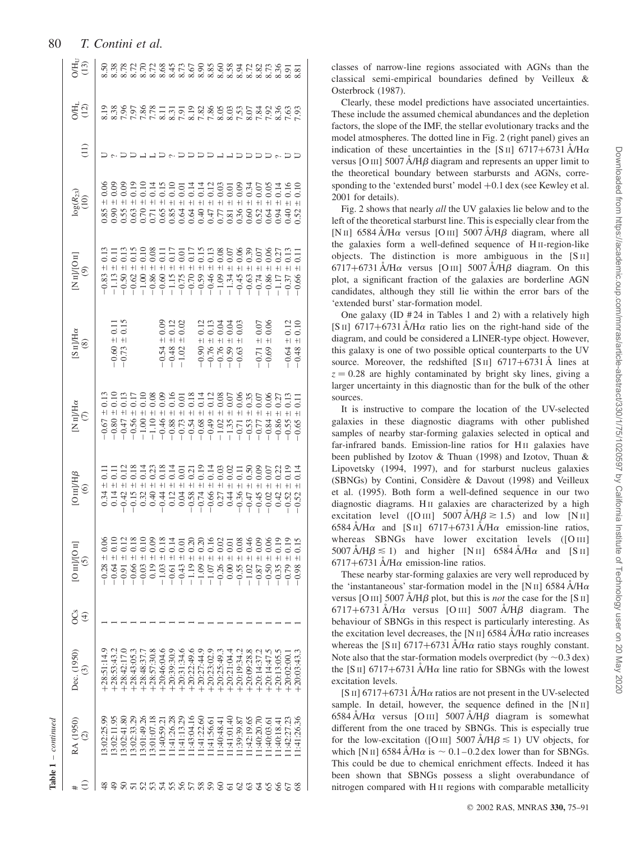| $\sum_{(13)}$                                                                                          |                                |                                      |               |                                             |                               |                                                                                         |               |                                      |                                                                        |               |            |                                                                                                                                                                                                                                                                                        |               |                           |                                |             |                                                 |               |                                     |                              |
|--------------------------------------------------------------------------------------------------------|--------------------------------|--------------------------------------|---------------|---------------------------------------------|-------------------------------|-----------------------------------------------------------------------------------------|---------------|--------------------------------------|------------------------------------------------------------------------|---------------|------------|----------------------------------------------------------------------------------------------------------------------------------------------------------------------------------------------------------------------------------------------------------------------------------------|---------------|---------------------------|--------------------------------|-------------|-------------------------------------------------|---------------|-------------------------------------|------------------------------|
| $O(H_1)$                                                                                               |                                |                                      |               |                                             |                               |                                                                                         |               |                                      |                                                                        |               |            |                                                                                                                                                                                                                                                                                        |               |                           |                                |             |                                                 |               |                                     |                              |
| $\left(11\right)$                                                                                      |                                |                                      |               |                                             |                               |                                                                                         |               |                                      |                                                                        |               |            |                                                                                                                                                                                                                                                                                        |               | addar                     |                                |             |                                                 |               |                                     |                              |
| $log(R_{23})$<br>(10)                                                                                  |                                |                                      | $\frac{9}{2}$ |                                             | 0110001110000<br>000000000000 |                                                                                         |               |                                      |                                                                        |               |            |                                                                                                                                                                                                                                                                                        |               |                           |                                | 0.34        | 0.05                                            | 0.14          | 0.16                                | 0.52                         |
| $\begin{array}{c} \begin{array}{c} \text{[N II] } \text{[O II]} \\ \text{[9]} \end{array} \end{array}$ | 0.13                           | 0.13                                 |               | $\begin{array}{c} 0.15 \\ 0.10 \end{array}$ | 0.08                          | Ξ                                                                                       |               |                                      |                                                                        |               |            |                                                                                                                                                                                                                                                                                        |               |                           |                                |             |                                                 |               |                                     |                              |
| $\begin{array}{c} \mathrm{[S\; II/Ha}\qquad \qquad \\ \mathrm{(8)} \qquad \qquad \end{array}$          |                                | $-0.60 \pm 0.11$<br>$-0.73 \pm 0.15$ |               |                                             |                               | $\begin{array}{c} +0.09 \\ +0.12 \\ +0.02 \end{array}$<br>$-0.54$<br>$-0.48$<br>$-1.02$ |               |                                      |                                                                        |               |            | 111350<br>111500<br>$-0.90 + 0.00 + 0.00 + 0.00 + 0.00 + 0.00 + 0.00 + 0.00 + 0.00 + 0.00 + 0.00 + 0.00 + 0.00 + 0.00 + 0.00 + 0.00 + 0.00 + 0.00 + 0.00 + 0.00 + 0.00 + 0.00 + 0.00 + 0.00 + 0.00 + 0.00 + 0.00 + 0.00 + 0.00 + 0.00 + 0.00 + 0.00 + 0.00 + 0.00 + 0.00 + 0.00 + 0.0$ |               |                           |                                | $+1$        | 0.06<br>0.06<br>$\qquad \qquad + \,$<br>$-0.71$ |               | $\frac{1}{2}$<br>$-0.64$<br>$-0.48$ | $\frac{0.12}{0.10}$<br>$\pm$ |
| $\begin{array}{c} \text{[N\textsc{ii}]{He}}\\ \text{(7)} \end{array}$                                  |                                |                                      |               |                                             |                               |                                                                                         |               |                                      |                                                                        |               |            |                                                                                                                                                                                                                                                                                        |               |                           |                                |             |                                                 |               |                                     |                              |
| $[O\,\text{m}] \text{H}\beta$ (6)                                                                      | $\pm 0.11$<br>$+1$             | $\pm$                                | $\ddot{+}$    | $+1$                                        |                               |                                                                                         |               |                                      |                                                                        |               |            |                                                                                                                                                                                                                                                                                        |               |                           |                                |             |                                                 |               | 0.22<br>0.19                        | 0.14                         |
| [O <sub>III</sub> ]/[O <sub>II</sub> ]<br><u>ර</u>                                                     | $0.28 \pm 0.06$<br>$0.64 \pm$  | $-10.91 \pm$                         | $0.66 \pm$    | $0.03 \pm$                                  | $0.19 \pm$                    | $1.03 \pm$                                                                              |               | $-0.61 \pm 0.14$<br>$-0.43 \pm 0.01$ | 20<br>$-1.19 \pm 0$<br>$-1.09 \pm 0$<br>$-1.07 \pm 0$<br>$-0.26 \pm 0$ | 20            |            |                                                                                                                                                                                                                                                                                        |               | $0.00 = 0.7$<br>-0.55 ± C | $\ddot{=}$<br>$-1.02 \pm 0.87$ |             | $-0.50 \pm 0$                                   | $-0.35 + 0$   | $-0.79 +$                           | $-0.98$                      |
| g<br>⊕                                                                                                 |                                |                                      |               |                                             |                               |                                                                                         |               |                                      |                                                                        |               |            |                                                                                                                                                                                                                                                                                        |               |                           |                                |             |                                                 |               |                                     |                              |
| Dec. (1950)<br>$\widetilde{c}$                                                                         | $-28:51:14.9$<br>$-28:53:43.2$ | $-28:42:17.$                         | $-28:43:05.$  | $-28:48:37$ .                               | $-28:57:30.3$                 | $-20.46.04.0$                                                                           | $-20:39:30.9$ | $-20:31:34.6$                        | $+20:22:49.6$<br>$+20:27:44.9$                                         |               |            | $+20:23:02.9$<br>$+20:25:49.3$                                                                                                                                                                                                                                                         | $-20:21:04.4$ | $-20:19:34.2$             | $-20:09:28.8$                  | $-20:14:37$ | $-20.14.47$ .                                   | $-20:13:05.2$ | $-20:02:00$                         | $-20:03:43.3$                |
| RA (1950)<br>$\odot$                                                                                   | 3:02:25.99<br>3:02:11.95       | 3:02:41.8                            | 3:02:33.29    | 3:01:49.26                                  | 3:01:07.18                    | 1:40:59.2                                                                               | 1:41:26.28    | 1:41:13.29                           | 1:43:04.16                                                             | 1:41:22.60    | 1:41:56.61 | 1:40:48.4                                                                                                                                                                                                                                                                              | 1:41:01.40    | 1:39:39.87                | 1:42:19.65                     | 1:40:20.70  | 1:40:03.6                                       | 1:40:18.4     | 1:42:27.22                          | 1:41:26.36                   |
|                                                                                                        |                                |                                      |               |                                             |                               |                                                                                         |               |                                      |                                                                        | $\frac{8}{3}$ | 59         | ଌ                                                                                                                                                                                                                                                                                      |               | $\mathcal{S}$             | ශ                              |             |                                                 |               |                                     |                              |

classes of narrow-line regions associated with AGNs than the classical semi-empirical boundaries defined by Veilleux & Osterbrock (1987).

Clearly, these model predictions have associated uncertainties. These include the assumed chemical abundances and the depletion factors, the slope of the IMF, the stellar evolutionary tracks and the model atmospheres. The dotted line in Fig. 2 (right panel) gives an indication of these uncertainties in the [S II] 6717+6731  $\AA$ /H $\alpha$ versus [O III]  $5007 \text{ Å/H}\beta$  diagram and represents an upper limit to the theoretical boundary between starbursts and AGNs, corresponding to the 'extended burst' model  $+0.1$  dex (see Kewley et al. 2001 for details).

Fig. 2 shows that nearly all the UV galaxies lie below and to the left of the theoretical starburst line. This is especially clear from the [N II] 6584 A/H $\alpha$  versus [O III] 5007 A/H $\beta$  diagram, where all the galaxies form a well-defined sequence of H II-region-like objects. The distinction is more ambiguous in the [S II]  $6717+6731$  Å/H $\alpha$  versus [O III] 5007 Å/H $\beta$  diagram. On this plot, a significant fraction of the galaxies are borderline AGN candidates, although they still lie within the error bars of the 'extended burst' star-formation model.

One galaxy  $(ID #24 in Tables 1 and 2) with a relatively high$ [S II] 6717+6731 Å/H $\alpha$  ratio lies on the right-hand side of the diagram, and could be considered a LINER-type object. However, this galaxy is one of two possible optical counterparts to the UV source. Moreover, the redshifted [S II] 6717+6731  $\AA$  lines at  $z = 0.28$  are highly contaminated by bright sky lines, giving a larger uncertainty in this diagnostic than for the bulk of the other sources.

It is instructive to compare the location of the UV-selected galaxies in these diagnostic diagrams with other published samples of nearby star-forming galaxies selected in optical and far-infrared bands. Emission-line ratios for H II galaxies have been published by Izotov & Thuan (1998) and Izotov, Thuan & Lipovetsky (1994, 1997), and for starburst nucleus galaxies (SBNGs) by Contini, Considère & Davout (1998) and Veilleux et al. (1995). Both form a well-defined sequence in our two diagnostic diagrams. H<sub>II</sub> galaxies are characterized by a high excitation level ([O III]  $5007 \text{ Å/H}\beta \ge 1.5$ ) and low [N II] 6584 Å/H $\alpha$  and [S II] 6717+6731 Å/H $\alpha$  emission-line ratios, whereas SBNGs have lower excitation levels ([O III]  $5007 \text{ Å/H}\beta \le 1$ ) and higher [N II] 6584 A H $\alpha$  and [S II]  $6717+6731$  Å/H $\alpha$  emission-line ratios.

These nearby star-forming galaxies are very well reproduced by the 'instantaneous' star-formation model in the [N II] 6584  $\AA$ /H $\alpha$ versus [O III] 5007  $\AA$ /H $\beta$  plot, but this is *not* the case for the [S II]  $6717+6731$  Å/H $\alpha$  versus [O III] 5007 Å/H $\beta$  diagram. The behaviour of SBNGs in this respect is particularly interesting. As the excitation level decreases, the [N II] 6584  $\AA$ /H $\alpha$  ratio increases whereas the [S II] 6717+6731  $\AA$ /H $\alpha$  ratio stays roughly constant. Note also that the star-formation models overpredict (by  $\sim$  0.3 dex) the [S II] 6717+6731 Å/H $\alpha$  line ratio for SBNGs with the lowest excitation levels.

[S II] 6717+6731  $\AA$ /H $\alpha$  ratios are not present in the UV-selected sample. In detail, however, the sequence defined in the  $[N<sub>II</sub>]$  $6584$  A/H $\alpha$  versus [O III]  $5007$  A/H $\beta$  diagram is somewhat different from the one traced by SBNGs. This is especially true for the low-excitation ([O III]  $5007 \text{ Å/H}\beta \le 1$ ) UV objects, for which [N II] 6584  $\AA$ /H $\alpha$  is  $\sim 0.1-0.2$  dex lower than for SBNGs. This could be due to chemical enrichment effects. Indeed it has been shown that SBNGs possess a slight overabundance of nitrogen compared with H II regions with comparable metallicity

# 80 T. Contini et al.

Table 1 - continued – continued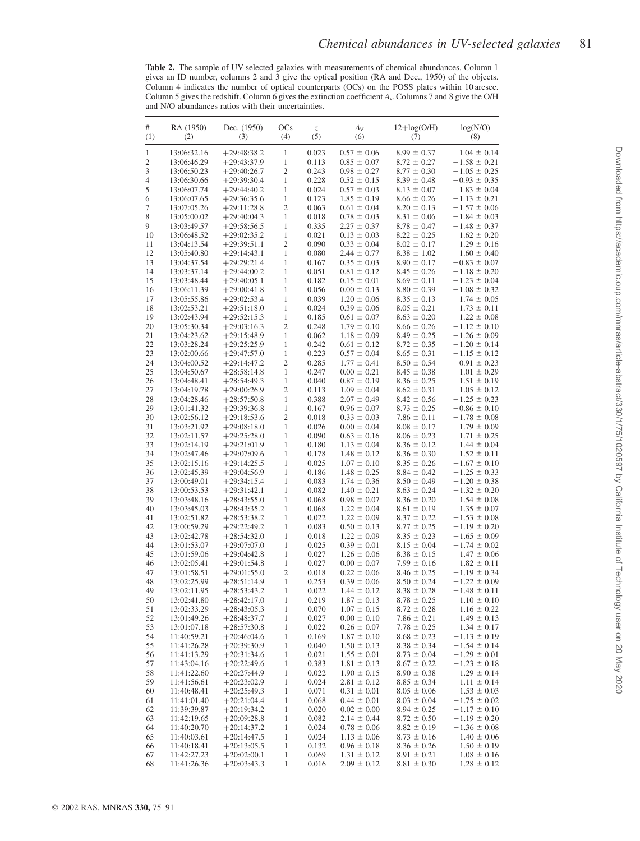Table 2. The sample of UV-selected galaxies with measurements of chemical abundances. Column 1 gives an ID number, columns 2 and 3 give the optical position (RA and Dec., 1950) of the objects. Column 4 indicates the number of optical counterparts (OCs) on the POSS plates within 10 arcsec. Column 5 gives the redshift. Column 6 gives the extinction coefficient  $A_v$ . Columns 7 and 8 give the O/H and N/O abundances ratios with their uncertainties.

| #<br>(1)     | RA (1950)<br>(2)           | Dec. (1950)<br>(3)             | <b>OCs</b><br>(4)            | $\ensuremath{\mathnormal{Z}}$<br>(5) | $A_V$<br>(6)                       | $12 + \log(O/H)$<br>(7)            | log(N/O)<br>(8)                      |
|--------------|----------------------------|--------------------------------|------------------------------|--------------------------------------|------------------------------------|------------------------------------|--------------------------------------|
| $\mathbf{1}$ | 13:06:32.16                | $+29:48:38.2$                  | 1                            | 0.023                                | $0.57 \pm 0.06$                    | $8.99 \pm 0.37$                    | $-1.04 \pm 0.14$                     |
| 2            | 13:06:46.29                | $+29:43:37.9$                  | 1                            | 0.113                                | $0.85 \pm 0.07$                    | $8.72 \pm 0.27$                    | $-1.58 \pm 0.21$                     |
| 3            | 13:06:50.23                | $+29:40:26.7$                  | 2                            | 0.243                                | $0.98 \pm 0.27$                    | $8.77 \pm 0.30$                    | $-1.05 \pm 0.25$                     |
| 4            | 13:06:30.66                | $+29:39:30.4$                  | 1                            | 0.228                                | $0.52 \pm 0.15$                    | $8.39 \pm 0.48$                    | $-0.93 \pm 0.35$                     |
| 5            | 13:06:07.74                | $+29:44:40.2$                  | 1                            | 0.024                                | $0.57 \pm 0.03$                    | $8.13 \pm 0.07$                    | $-1.83 \pm 0.04$                     |
| 6            | 13:06:07.65                | $+29:36:35.6$                  | 1                            | 0.123                                | $1.85 \pm 0.19$                    | $8.66 \pm 0.26$                    | $-1.13 \pm 0.21$                     |
| 7<br>8       | 13:07:05.26<br>13:05:00.02 | $+29:11:28.8$<br>$+29:40:04.3$ | 2<br>1                       | 0.063<br>0.018                       | $0.61 \pm 0.04$<br>$0.78 \pm 0.03$ | $8.20 \pm 0.13$<br>$8.31 \pm 0.06$ | $-1.57 \pm 0.06$<br>$-1.84 \pm 0.03$ |
| 9            | 13:03:49.57                | $+29:58:56.5$                  | 1                            | 0.335                                | $2.27 \pm 0.37$                    | $8.78 \pm 0.47$                    | $-1.48 \pm 0.37$                     |
| 10           | 13:06:48.52                | $+29:02:35.2$                  | 1                            | 0.021                                | $0.13 \pm 0.03$                    | $8.22 \pm 0.25$                    | $-1.62 \pm 0.20$                     |
| 11           | 13:04:13.54                | $+29:39:51.1$                  | 2                            | 0.090                                | $0.33 \pm 0.04$                    | $8.02 \pm 0.17$                    | $-1.29 \pm 0.16$                     |
| 12           | 13:05:40.80                | $+29:14:43.1$                  | 1                            | 0.080                                | $2.44 \pm 0.77$                    | $8.38 \pm 1.02$                    | $-1.60 \pm 0.40$                     |
| 13           | 13:04:37.54                | $+29:29:21.4$                  | 1                            | 0.167                                | $0.35 \pm 0.03$                    | $8.90 \pm 0.17$                    | $-0.83 \pm 0.07$                     |
| 14           | 13:03:37.14                | $+29:44:00.2$                  | 1                            | 0.051                                | $0.81 \pm 0.12$                    | $8.45 \pm 0.26$                    | $-1.18 \pm 0.20$                     |
| 15           | 13:03:48.44                | $+29:40:05.1$                  | 1                            | 0.182                                | $0.15 \pm 0.01$                    | $8.69 \pm 0.11$                    | $-1.23 \pm 0.04$                     |
| 16<br>17     | 13:06:11.39                | $+29:00:41.8$<br>$+29:02:53.4$ | 1<br>1                       | 0.056<br>0.039                       | $0.00 \pm 0.13$<br>$1.20 \pm 0.06$ | $8.80 \pm 0.39$<br>$8.35 \pm 0.13$ | $-1.08 \pm 0.32$<br>$-1.74 \pm 0.05$ |
| 18           | 13:05:55.86<br>13:02:53.21 | $+29:51:18.0$                  | 1                            | 0.024                                | $0.39 \pm 0.06$                    | $8.05 \pm 0.21$                    | $-1.73 \pm 0.11$                     |
| 19           | 13:02:43.94                | $+29:52:15.3$                  | 1                            | 0.185                                | $0.61 \pm 0.07$                    | $8.63 \pm 0.20$                    | $-1.22 \pm 0.08$                     |
| 20           | 13:05:30.34                | $+29:03:16.3$                  | 2                            | 0.248                                | $1.79 \pm 0.10$                    | $8.66 \pm 0.26$                    | $-1.12 \pm 0.10$                     |
| 21           | 13:04:23.62                | $+29:15:48.9$                  | 1                            | 0.062                                | $1.18 \pm 0.09$                    | $8.49 \pm 0.25$                    | $-1.26 \pm 0.09$                     |
| 22           | 13:03:28.24                | $+29:25:25.9$                  | 1                            | 0.242                                | $0.61 \pm 0.12$                    | $8.72 \pm 0.35$                    | $-1.20 \pm 0.14$                     |
| 23           | 13:02:00.66                | $+29:47:57.0$                  | 1                            | 0.223                                | $0.57 \pm 0.04$                    | $8.65 \pm 0.31$                    | $-1.15 \pm 0.12$                     |
| 24           | 13:04:00.52                | $+29:14:47.2$                  | $\mathfrak{2}$               | 0.285                                | $1.77 \pm 0.41$                    | $8.50 \pm 0.54$                    | $-0.91 \pm 0.23$                     |
| 25           | 13:04:50.67<br>13:04:48.41 | $+28:58:14.8$<br>$+28:54:49.3$ | 1<br>1                       | 0.247<br>0.040                       | $0.00 \pm 0.21$<br>$0.87 \pm 0.19$ | $8.45 \pm 0.38$<br>$8.36 \pm 0.25$ | $-1.01 \pm 0.29$<br>$-1.51 \pm 0.19$ |
| 26<br>27     | 13:04:19.78                | $+29:00:26.9$                  | $\mathfrak{2}$               | 0.113                                | $1.09 \pm 0.04$                    | $8.62 \pm 0.31$                    | $-1.05 \pm 0.12$                     |
| 28           | 13:04:28.46                | $+28:57:50.8$                  | $\mathbf{1}$                 | 0.388                                | $2.07 \pm 0.49$                    | $8.42 \pm 0.56$                    | $-1.25 \pm 0.23$                     |
| 29           | 13:01:41.32                | $+29:39:36.8$                  | 1                            | 0.167                                | $0.96 \pm 0.07$                    | $8.73 \pm 0.25$                    | $-0.86 \pm 0.10$                     |
| 30           | 13:02:56.12                | $+29:18:53.6$                  | $\mathfrak{2}$               | 0.018                                | $0.33 \pm 0.03$                    | $7.86 \pm 0.11$                    | $-1.78 \pm 0.08$                     |
| 31           | 13:03:21.92                | $+29:08:18.0$                  | 1                            | 0.026                                | $0.00 \pm 0.04$                    | $8.08 \pm 0.17$                    | $-1.79 \pm 0.09$                     |
| 32           | 13:02:11.57                | $+29:25:28.0$                  | $\mathbf{1}$                 | 0.090                                | $0.63 \pm 0.16$                    | $8.06 \pm 0.23$                    | $-1.71 \pm 0.25$                     |
| 33           | 13:02:14.19                | $+29:21:01.9$                  | 1                            | 0.180                                | $1.13 \pm 0.04$                    | $8.36 \pm 0.12$                    | $-1.44 \pm 0.04$                     |
| 34<br>35     | 13:02:47.46<br>13:02:15.16 | $+29:07:09.6$<br>$+29:14:25.5$ | 1<br>$\mathbf{1}$            | 0.178<br>0.025                       | $1.48 \pm 0.12$<br>$1.07 \pm 0.10$ | $8.36 \pm 0.30$<br>$8.35 \pm 0.26$ | $-1.52 \pm 0.11$<br>$-1.67 \pm 0.10$ |
| 36           | 13:02:45.39                | $+29:04:56.9$                  | $\mathbf{1}$                 | 0.186                                | $1.48 \pm 0.25$                    | $8.84 \pm 0.42$                    | $-1.25 \pm 0.33$                     |
| 37           | 13:00:49.01                | $+29:34:15.4$                  | $\mathbf{1}$                 | 0.083                                | $1.74 \pm 0.36$                    | $8.50 \pm 0.49$                    | $-1.20 \pm 0.38$                     |
| 38           | 13:00:53.53                | $+29:31:42.1$                  | $\mathbf{1}$                 | 0.082                                | $1.40 \pm 0.21$                    | $8.63 \pm 0.24$                    | $-1.32 \pm 0.20$                     |
| 39           | 13:03:48.16                | $+28:43:55.0$                  | 1                            | 0.068                                | $0.98 \pm 0.07$                    | $8.36 \pm 0.20$                    | $-1.54 \pm 0.08$                     |
| 40           | 13:03:45.03                | $+28:43:35.2$                  | $\mathbf{1}$                 | 0.068                                | $1.22 \pm 0.04$                    | $8.61 \pm 0.19$                    | $-1.35 \pm 0.07$                     |
| 41           | 13:02:51.82                | $+28:53:38.2$                  | $\mathbf{1}$                 | 0.022                                | $1.22 \pm 0.09$                    | $8.37 \pm 0.22$                    | $-1.53 \pm 0.08$                     |
| 42           | 13:00:59.29                | $+29:22:49.2$                  | $\mathbf{1}$                 | 0.083                                | $0.50 \pm 0.13$                    | $8.77 \pm 0.25$                    | $-1.19 \pm 0.20$                     |
| 43<br>44     | 13:02:42.78<br>13:01:53.07 | $+28:54:32.0$<br>$+29:07:07.0$ | $\mathbf{1}$<br>1            | 0.018<br>0.025                       | $1.22 \pm 0.09$<br>$0.39 \pm 0.01$ | $8.35 \pm 0.23$<br>$8.15 \pm 0.04$ | $-1.65 \pm 0.09$<br>$-1.74 \pm 0.02$ |
| 45           | 13:01:59.06                | $+29:04:42.8$                  | 1                            | 0.027                                | $1.26 \pm 0.06$                    | $8.38 \pm 0.15$                    | $-1.47 \pm 0.06$                     |
| 46           | 13:02:05.41                | $+29:01:54.8$                  | $\mathbf{1}$                 | 0.027                                | $0.00 \pm 0.07$                    | $7.99 \pm 0.16$                    | $-1.82 \pm 0.11$                     |
| 47           | 13:01:58.51                | $+29:01:55.0$                  | 2                            | 0.018                                | $0.22 \pm 0.06$                    | $8.46 \pm 0.25$                    | $-1.19 \pm 0.34$                     |
| 48           | 13:02:25.99                | $+28:51:14.9$                  | 1                            | 0.253                                | $0.39 \pm 0.06$                    | $8.50 \pm 0.24$                    | $-1.22 \pm 0.09$                     |
| 49           | 13:02:11.95                | $+28:53:43.2$                  | 1                            | 0.022                                | $1.44 \pm 0.12$                    | $8.38 \pm 0.28$                    | $-1.48 \pm 0.11$                     |
| 50           | 13:02:41.80                | $+28:42:17.0$                  |                              | 0.219                                | $1.87 \pm 0.13$                    | $8.78 \pm 0.25$                    | $-1.10 \pm 0.10$                     |
| 51           | 13:02:33.29                | $+28:43:05.3$                  | 1                            | 0.070                                | $1.07 \pm 0.15$                    | $8.72 \pm 0.28$                    | $-1.16 \pm 0.22$                     |
| 52<br>53     | 13:01:49.26<br>13:01:07.18 | $+28:48:37.7$<br>$+28:57:30.8$ | $\mathbf{1}$<br>$\mathbf{1}$ | 0.027<br>0.022                       | $0.00 \pm 0.10$<br>$0.26 \pm 0.07$ | $7.86 \pm 0.21$<br>$7.78 \pm 0.25$ | $-1.49 \pm 0.13$<br>$-1.34 \pm 0.17$ |
| 54           | 11:40:59.21                | $+20:46:04.6$                  | 1                            | 0.169                                | $1.87 \pm 0.10$                    | $8.68 \pm 0.23$                    | $-1.13 \pm 0.19$                     |
| 55           | 11:41:26.28                | $+20:39:30.9$                  | 1                            | 0.040                                | $1.50 \pm 0.13$                    | $8.38 \pm 0.34$                    | $-1.54 \pm 0.14$                     |
| 56           | 11:41:13.29                | $+20:31:34.6$                  | 1                            | 0.021                                | $1.55 \pm 0.01$                    | $8.73 \pm 0.04$                    | $-1.29 \pm 0.01$                     |
| 57           | 11:43:04.16                | $+20:22:49.6$                  | $\mathbf{1}$                 | 0.383                                | $1.81 \pm 0.13$                    | $8.67 \pm 0.22$                    | $-1.23 \pm 0.18$                     |
| 58           | 11:41:22.60                | $+20:27:44.9$                  | $\mathbf{1}$                 | 0.022                                | $1.90 \pm 0.15$                    | $8.90 \pm 0.38$                    | $-1.29 \pm 0.14$                     |
| 59           | 11:41:56.61                | $+20:23:02.9$                  | $\mathbf{1}$                 | 0.024                                | $2.81 \pm 0.12$                    | $8.85 \pm 0.34$                    | $-1.11 \pm 0.14$                     |
| 60           | 11:40:48.41                | $+20:25:49.3$<br>$+20:21:04.4$ | $\mathbf{1}$<br>1            | 0.071                                | $0.31 \pm 0.01$                    | $8.05 \pm 0.06$<br>$8.03 \pm 0.04$ | $-1.53 \pm 0.03$                     |
| 61<br>62     | 11:41:01.40<br>11:39:39.87 | $+20:19:34.2$                  | $\mathbf{1}$                 | 0.068<br>0.020                       | $0.44 \pm 0.01$<br>$0.02 \pm 0.00$ | $8.94 \pm 0.25$                    | $-1.75 \pm 0.02$<br>$-1.17 \pm 0.10$ |
| 63           | 11:42:19.65                | $+20:09:28.8$                  | $\mathbf{1}$                 | 0.082                                | $2.14 \pm 0.44$                    | $8.72 \pm 0.50$                    | $-1.19 \pm 0.20$                     |
| 64           | 11:40:20.70                | $+20:14:37.2$                  | 1                            | 0.024                                | $0.78 \pm 0.06$                    | $8.82 \pm 0.19$                    | $-1.36 \pm 0.08$                     |
| 65           | 11:40:03.61                | $+20:14:47.5$                  | 1                            | 0.024                                | $1.13 \pm 0.06$                    | $8.73 \pm 0.16$                    | $-1.40 \pm 0.06$                     |
| 66           | 11:40:18.41                | $+20:13:05.5$                  | 1                            | 0.132                                | $0.96 \pm 0.18$                    | $8.36 \pm 0.26$                    | $-1.50 \pm 0.19$                     |
| 67           | 11:42:27.23                | $+20:02:00.1$                  | 1                            | 0.069                                | $1.31 \pm 0.12$                    | $8.91 \pm 0.21$                    | $-1.08 \pm 0.16$                     |
| 68           | 11:41:26.36                | $+20:03:43.3$                  | 1                            | 0.016                                | $2.09 \pm 0.12$                    | $8.81 \pm 0.30$                    | $-1.28 \pm 0.12$                     |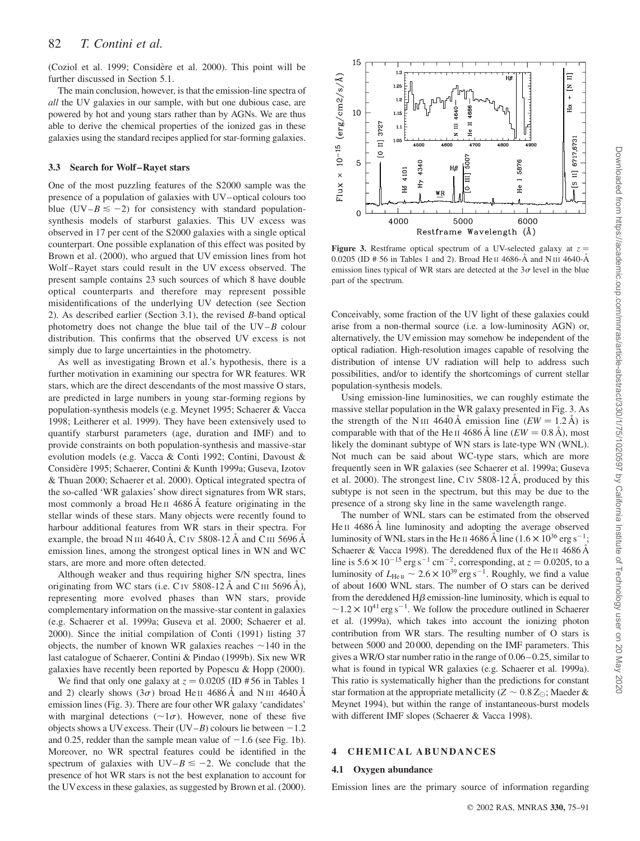(Coziol et al. 1999; Considère et al. 2000). This point will be further discussed in Section 5.1.

The main conclusion, however, is that the emission-line spectra of all the UV galaxies in our sample, with but one dubious case, are powered by hot and young stars rather than by AGNs. We are thus able to derive the chemical properties of the ionized gas in these galaxies using the standard recipes applied for star-forming galaxies.

#### 3.3 Search for Wolf–Rayet stars

One of the most puzzling features of the S2000 sample was the presence of a population of galaxies with UV–optical colours too blue  $(UV-B \le -2)$  for consistency with standard populationsynthesis models of starburst galaxies. This UV excess was observed in 17 per cent of the S2000 galaxies with a single optical counterpart. One possible explanation of this effect was posited by Brown et al. (2000), who argued that UV emission lines from hot Wolf–Rayet stars could result in the UV excess observed. The present sample contains 23 such sources of which 8 have double optical counterparts and therefore may represent possible misidentifications of the underlying UV detection (see Section 2). As described earlier (Section 3.1), the revised B-band optical photometry does not change the blue tail of the  $UV-B$  colour distribution. This confirms that the observed UV excess is not simply due to large uncertainties in the photometry.

As well as investigating Brown et al.'s hypothesis, there is a further motivation in examining our spectra for WR features. WR stars, which are the direct descendants of the most massive O stars, are predicted in large numbers in young star-forming regions by population-synthesis models (e.g. Meynet 1995; Schaerer & Vacca 1998; Leitherer et al. 1999). They have been extensively used to quantify starburst parameters (age, duration and IMF) and to provide constraints on both population-synthesis and massive-star evolution models (e.g. Vacca & Conti 1992; Contini, Davoust & Considère 1995; Schaerer, Contini & Kunth 1999a; Guseva, Izotov & Thuan 2000; Schaerer et al. 2000). Optical integrated spectra of the so-called 'WR galaxies' show direct signatures from WR stars, most commonly a broad He II 4686 Å feature originating in the stellar winds of these stars. Many objects were recently found to harbour additional features from WR stars in their spectra. For example, the broad N III 4640 Å, C IV 5808-12 Å and C III 5696 Å emission lines, among the strongest optical lines in WN and WC stars, are more and more often detected.

Although weaker and thus requiring higher S/N spectra, lines originating from WC stars (i.e. CIV 5808-12  $\AA$  and CIII 5696  $\AA$ ), representing more evolved phases than WN stars, provide complementary information on the massive-star content in galaxies (e.g. Schaerer et al. 1999a; Guseva et al. 2000; Schaerer et al. 2000). Since the initial compilation of Conti (1991) listing 37 objects, the number of known WR galaxies reaches  $\sim$ 140 in the last catalogue of Schaerer, Contini & Pindao (1999b). Six new WR galaxies have recently been reported by Popescu & Hopp (2000).

We find that only one galaxy at  $z = 0.0205$  (ID #56 in Tables 1) and 2) clearly shows  $(3\sigma)$  broad He II 4686 A and N III 4640 A emission lines (Fig. 3). There are four other WR galaxy 'candidates' with marginal detections ( $\sim 1\sigma$ ). However, none of these five objects shows a UV excess. Their (UV–B) colours lie between  $-1.2$ and 0.25, redder than the sample mean value of  $-1.6$  (see Fig. 1b). Moreover, no WR spectral features could be identified in the spectrum of galaxies with  $UV-B \le -2$ . We conclude that the presence of hot WR stars is not the best explanation to account for the UVexcess in these galaxies, as suggested by Brown et al. (2000).



Figure 3. Restframe optical spectrum of a UV-selected galaxy at  $z =$ 0.0205 (ID # 56 in Tables 1 and 2). Broad He II 4686- $\AA$  and N III 4640- $\AA$ emission lines typical of WR stars are detected at the  $3\sigma$  level in the blue part of the spectrum.

Conceivably, some fraction of the UV light of these galaxies could arise from a non-thermal source (i.e. a low-luminosity AGN) or, alternatively, the UV emission may somehow be independent of the optical radiation. High-resolution images capable of resolving the distribution of intense UV radiation will help to address such possibilities, and/or to identify the shortcomings of current stellar population-synthesis models.

Using emission-line luminosities, we can roughly estimate the massive stellar population in the WR galaxy presented in Fig. 3. As the strength of the N<sub>III</sub> 4640 Å emission line  $(EW = 1.2 \text{ Å})$  is comparable with that of the He II 4686 Å line  $(EW = 0.8 \text{ Å})$ , most likely the dominant subtype of WN stars is late-type WN (WNL). Not much can be said about WC-type stars, which are more frequently seen in WR galaxies (see Schaerer et al. 1999a; Guseva et al. 2000). The strongest line, C<sub>IV</sub> 5808-12 Å, produced by this subtype is not seen in the spectrum, but this may be due to the presence of a strong sky line in the same wavelength range.

The number of WNL stars can be estimated from the observed He II 4686 Å line luminosity and adopting the average observed luminosity of WNL stars in the He II 4686 Å line  $(1.6 \times 10^{36} \text{ erg s}^{-1})$ ; Schaerer & Vacca 1998). The dereddened flux of the He II 4686  $\AA$ line is  $5.6 \times 10^{-15}$  erg s<sup>-1</sup> cm<sup>-2</sup>, corresponding, at  $z = 0.0205$ , to a luminosity of  $L_{\text{HeII}} \sim 2.6 \times 10^{39} \text{ erg s}^{-1}$ . Roughly, we find a value of about 1600 WNL stars. The number of O stars can be derived from the dereddened  $H\beta$  emission-line luminosity, which is equal to  $\sim$ 1.2  $\times$  10<sup>41</sup> erg s<sup>-1</sup>. We follow the procedure outlined in Schaerer et al. (1999a), which takes into account the ionizing photon contribution from WR stars. The resulting number of O stars is between 5000 and 20 000, depending on the IMF parameters. This gives a WR/O star number ratio in the range of 0:06–0:25, similar to what is found in typical WR galaxies (e.g. Schaerer et al. 1999a). This ratio is systematically higher than the predictions for constant star formation at the appropriate metallicity ( $Z \sim 0.8 Z_{\odot}$ ; Maeder & Meynet 1994), but within the range of instantaneous-burst models with different IMF slopes (Schaerer & Vacca 1998).

#### 4 CHEMICAL ABUNDANCES

#### 4.1 Oxygen abundance

Emission lines are the primary source of information regarding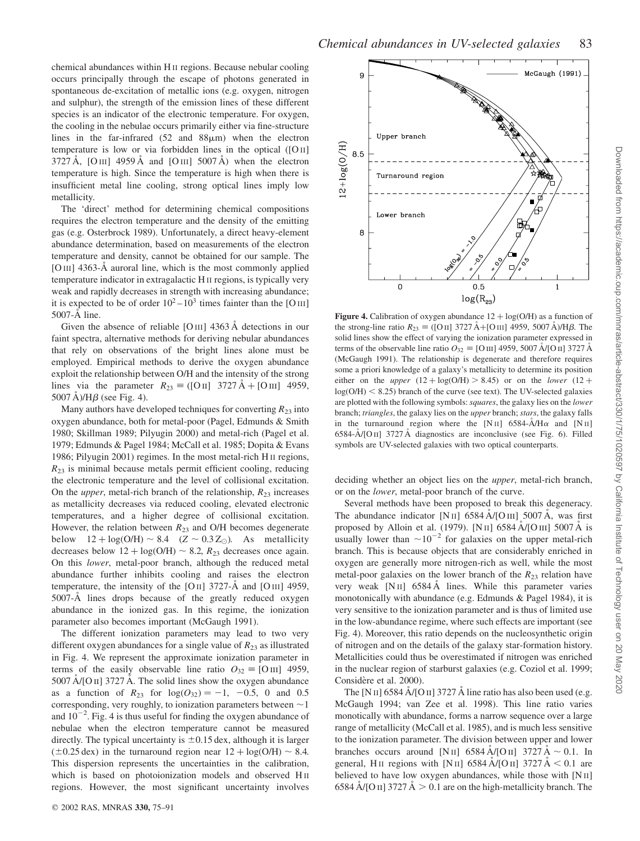chemical abundances within H II regions. Because nebular cooling occurs principally through the escape of photons generated in spontaneous de-excitation of metallic ions (e.g. oxygen, nitrogen and sulphur), the strength of the emission lines of these different species is an indicator of the electronic temperature. For oxygen, the cooling in the nebulae occurs primarily either via fine-structure lines in the far-infrared  $(52 \text{ and } 88 \mu \text{m})$  when the electron temperature is low or via forbidden lines in the optical  $([O \, II]$  $3727 \text{ Å}$ , [O III] 4959 Å and [O III] 5007 Å) when the electron temperature is high. Since the temperature is high when there is insufficient metal line cooling, strong optical lines imply low metallicity.

The 'direct' method for determining chemical compositions requires the electron temperature and the density of the emitting gas (e.g. Osterbrock 1989). Unfortunately, a direct heavy-element abundance determination, based on measurements of the electron temperature and density, cannot be obtained for our sample. The [O III] 4363-Å auroral line, which is the most commonly applied temperature indicator in extragalactic H II regions, is typically very weak and rapidly decreases in strength with increasing abundance; it is expected to be of order  $10^2 - 10^3$  times fainter than the [O III] 5007-Å line.

Given the absence of reliable  $[OIII]$  4363 Å detections in our faint spectra, alternative methods for deriving nebular abundances that rely on observations of the bright lines alone must be employed. Empirical methods to derive the oxygen abundance exploit the relationship between O/H and the intensity of the strong lines via the parameter  $R_{23} = ($ [O ii] 3727 Å + [O iii] 4959,  $5007 \text{ Å}$ )/H $\beta$  (see Fig. 4).

Many authors have developed techniques for converting  $R_{23}$  into oxygen abundance, both for metal-poor (Pagel, Edmunds & Smith 1980; Skillman 1989; Pilyugin 2000) and metal-rich (Pagel et al. 1979; Edmunds & Pagel 1984; McCall et al. 1985; Dopita & Evans 1986; Pilyugin 2001) regimes. In the most metal-rich H II regions,  $R_{23}$  is minimal because metals permit efficient cooling, reducing the electronic temperature and the level of collisional excitation. On the *upper*, metal-rich branch of the relationship,  $R_{23}$  increases as metallicity decreases via reduced cooling, elevated electronic temperatures, and a higher degree of collisional excitation. However, the relation between  $R_{23}$  and O/H becomes degenerate below  $12 + \log(O/H) \sim 8.4$   $(Z \sim 0.3 Z_{\odot})$ . As metallicity decreases below  $12 + \log(O/H) \sim 8.2$ ,  $R_{23}$  decreases once again. On this lower, metal-poor branch, although the reduced metal abundance further inhibits cooling and raises the electron temperature, the intensity of the [O II] 3727- $\AA$  and [O III] 4959, 5007-A<sup> $\;$ </sup> lines drops because of the greatly reduced oxygen abundance in the ionized gas. In this regime, the ionization parameter also becomes important (McGaugh 1991).

The different ionization parameters may lead to two very different oxygen abundances for a single value of  $R_{23}$  as illustrated in Fig. 4. We represent the approximate ionization parameter in terms of the easily observable line ratio  $O_{32} \equiv [O \text{ III}]$  4959,  $5007 \text{ Å/[O II]}$  3727 Å. The solid lines show the oxygen abundance as a function of  $R_{23}$  for  $log(O_{32}) = -1$ ,  $-0.5$ , 0 and 0.5 corresponding, very roughly, to ionization parameters between  $\sim$  1 and  $10^{-2}$ . Fig. 4 is thus useful for finding the oxygen abundance of nebulae when the electron temperature cannot be measured directly. The typical uncertainty is  $\pm 0.15$  dex, although it is larger  $(\pm 0.25 \text{ dex})$  in the turnaround region near  $12 + \log(O/H) \sim 8.4$ . This dispersion represents the uncertainties in the calibration, which is based on photoionization models and observed HII regions. However, the most significant uncertainty involves



Figure 4. Calibration of oxygen abundance  $12 + \log(O/H)$  as a function of the strong-line ratio  $R_{23} \equiv ($ [O II] 3727 A<sup>+</sup> [O III] 4959, 5007 A  $/H\beta$ . The solid lines show the effect of varying the ionization parameter expressed in terms of the observable line ratio  $O_{32} \equiv$  [O iii] 4959, 5007 Å/[O ii] 3727 Å (McGaugh 1991). The relationship is degenerate and therefore requires some a priori knowledge of a galaxy's metallicity to determine its position either on the *upper*  $(12 + \log(O/H) > 8.45)$  or on the *lower*  $(12 +$  $log(O/H)$  < 8.25) branch of the curve (see text). The UV-selected galaxies are plotted with the following symbols: squares, the galaxy lies on the lower branch; triangles, the galaxy lies on the upper branch; stars, the galaxy falls in the turnaround region where the [N<sub>II</sub>] 6584- $\AA$ /H $\alpha$  and [N<sub>II</sub>]  $6584 - \text{A/[O II]}$  3727 A diagnostics are inconclusive (see Fig. 6). Filled symbols are UV-selected galaxies with two optical counterparts.

deciding whether an object lies on the upper, metal-rich branch, or on the lower, metal-poor branch of the curve.

Several methods have been proposed to break this degeneracy. The abundance indicator [N II]  $6584 \text{ Å}$  [O III]  $5007 \text{ Å}$ , was first proposed by Alloin et al. (1979). [N II] 6584  $\rm \AA / [O\,III]$  5007  $\rm \AA$  is usually lower than  $\sim 10^{-2}$  for galaxies on the upper metal-rich branch. This is because objects that are considerably enriched in oxygen are generally more nitrogen-rich as well, while the most metal-poor galaxies on the lower branch of the  $R_{23}$  relation have very weak  $[NII]$  6584 Å lines. While this parameter varies monotonically with abundance (e.g. Edmunds & Pagel 1984), it is very sensitive to the ionization parameter and is thus of limited use in the low-abundance regime, where such effects are important (see Fig. 4). Moreover, this ratio depends on the nucleosynthetic origin of nitrogen and on the details of the galaxy star-formation history. Metallicities could thus be overestimated if nitrogen was enriched in the nuclear region of starburst galaxies (e.g. Coziol et al. 1999; Considère et al. 2000).

The [N II] 6584  $\AA$ /[O II] 3727  $\AA$  line ratio has also been used (e.g. McGaugh 1994; van Zee et al. 1998). This line ratio varies monotically with abundance, forms a narrow sequence over a large range of metallicity (McCall et al. 1985), and is much less sensitive to the ionization parameter. The division between upper and lower branches occurs around [N II] 6584 A/[O II] 3727 A  $\sim$  0.1. In general, H<sub>II</sub> regions with [N<sub>II</sub>] 6584  $\rm \AA$ /[O<sub>II</sub>] 3727  $\rm \AA$  < 0.1 are believed to have low oxygen abundances, while those with [N II] 6584 Å/[O II] 3727 Å  $> 0.1$  are on the high-metallicity branch. The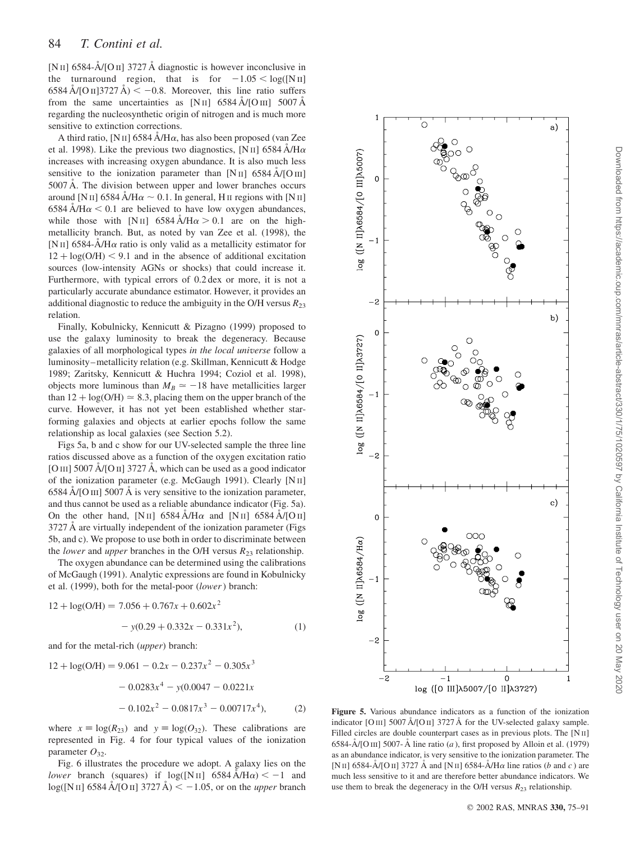[N II] 6584- $\rm \AA$ /[O II] 3727  $\rm \AA$  diagnostic is however inconclusive in the turnaround region, that is for  $-1.05 < log([N\text{H}])$  $6584 \text{ Å} / [\text{O}\text{H}]3727 \text{ Å}$   $\leq -0.8$ . Moreover, this line ratio suffers from the same uncertainties as  $[NII]$  6584 A/[OIII] 5007 A regarding the nucleosynthetic origin of nitrogen and is much more sensitive to extinction corrections.

A third ratio, [N II] 6584  $\AA$ /H $\alpha$ , has also been proposed (van Zee et al. 1998). Like the previous two diagnostics, [N II] 6584  $\AA$ /H $\alpha$ increases with increasing oxygen abundance. It is also much less sensitive to the ionization parameter than  $[N II]$  6584 A/[O III]  $5007 \text{ Å}$ . The division between upper and lower branches occurs around [N II] 6584 Å/H $\alpha \sim 0.1$ . In general, H II regions with [N II]  $6584 \text{ Å/Hz} < 0.1$  are believed to have low oxygen abundances, while those with [N II] 6584  $\AA$ /H $\alpha$  > 0.1 are on the highmetallicity branch. But, as noted by van Zee et al. (1998), the [N II] 6584- $\AA$ /H $\alpha$  ratio is only valid as a metallicity estimator for  $12 + \log(O/H) < 9.1$  and in the absence of additional excitation sources (low-intensity AGNs or shocks) that could increase it. Furthermore, with typical errors of 0.2 dex or more, it is not a particularly accurate abundance estimator. However, it provides an additional diagnostic to reduce the ambiguity in the O/H versus  $R_{23}$ relation.

Finally, Kobulnicky, Kennicutt & Pizagno (1999) proposed to use the galaxy luminosity to break the degeneracy. Because galaxies of all morphological types in the local universe follow a luminosity–metallicity relation (e.g. Skillman, Kennicutt & Hodge 1989; Zaritsky, Kennicutt & Huchra 1994; Coziol et al. 1998), objects more luminous than  $M_B \simeq -18$  have metallicities larger than  $12 + \log(O/H) \approx 8.3$ , placing them on the upper branch of the curve. However, it has not yet been established whether starforming galaxies and objects at earlier epochs follow the same relationship as local galaxies (see Section 5.2).

Figs 5a, b and c show for our UV-selected sample the three line ratios discussed above as a function of the oxygen excitation ratio [O III] 5007  $\text{\AA}$ [O II] 3727  $\text{\AA}$ , which can be used as a good indicator of the ionization parameter (e.g. McGaugh 1991). Clearly [N II]  $6584$  Å/[O III] 5007 Å is very sensitive to the ionization parameter, and thus cannot be used as a reliable abundance indicator (Fig. 5a). On the other hand, [N II] 6584 A/H $\alpha$  and [N II] 6584 A/[O II]  $3727 \text{ Å}$  are virtually independent of the ionization parameter (Figs) 5b, and c). We propose to use both in order to discriminate between the *lower* and *upper* branches in the O/H versus  $R_{23}$  relationship.

The oxygen abundance can be determined using the calibrations of McGaugh (1991). Analytic expressions are found in Kobulnicky et al. (1999), both for the metal-poor (lower) branch:

 $(1)$ 

$$
12 + \log(O/H) = 7.056 + 0.767x + 0.602x^2
$$

$$
- y(0.29 + 0.332x - 0.331x^2),
$$

and for the metal-rich (upper) branch:

$$
12 + \log(O/H) = 9.061 - 0.2x - 0.237x^{2} - 0.305x^{3}
$$

$$
- 0.0283x^{4} - y(0.0047 - 0.0221x
$$

$$
- 0.102x^{2} - 0.0817x^{3} - 0.00717x^{4}),
$$
 (2)

where  $x \equiv \log(R_{23})$  and  $y \equiv \log(O_{32})$ . These calibrations are represented in Fig. 4 for four typical values of the ionization parameter  $O_{32}$ .

Fig. 6 illustrates the procedure we adopt. A galaxy lies on the lower branch (squares) if  $log([N\text{II}] \ 6584 \text{ Å/Hz}) < -1$  and  $log([NII] 6584 \text{ Å}/[OII] 3727 \text{ Å}) < -1.05$ , or on the *upper* branch



Figure 5. Various abundance indicators as a function of the ionization indicator [O III] 5007 Å/[O II] 3727 Å for the UV-selected galaxy sample. Filled circles are double counterpart cases as in previous plots. The [N II] 6584-Å/[O III] 5007-Å line ratio (a), first proposed by Alloin et al. (1979) as an abundance indicator, is very sensitive to the ionization parameter. The [N II] 6584- $\rm \AA$ /[O II] 3727  $\rm \AA$  and [N II] 6584- $\rm \AA$ /H $\alpha$  line ratios (b and c) are much less sensitive to it and are therefore better abundance indicators. We use them to break the degeneracy in the O/H versus  $R_{23}$  relationship.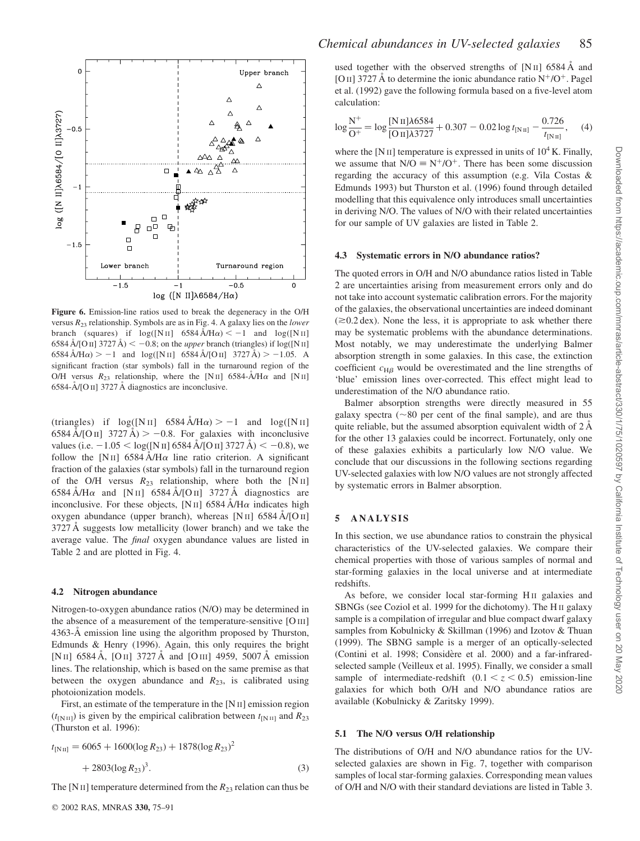

Figure 6. Emission-line ratios used to break the degeneracy in the O/H versus  $R_{23}$  relationship. Symbols are as in Fig. 4. A galaxy lies on the *lower* branch (squares) if  $log([N II] 6584 \text{ Å/Hz}) < -1$  and  $log([N II]$ 6584 Å/[O II] 3727 Å)  $\langle$  -0.8; on the *upper* branch (triangles) if log([N II]  $6584 \text{ Å/H}\alpha$  > -1 and  $\log([N \text{ H}] 6584 \text{ Å} / [O \text{ H}] 3727 \text{ Å})$  > -1.05. A significant fraction (star symbols) fall in the turnaround region of the O/H versus  $R_{23}$  relationship, where the [N II] 6584- $\rm \AA/ \rm H\alpha$  and [N II] 6584- $\rm \AA$  [O II] 3727 Å diagnostics are inconclusive.

(triangles) if  $log([N II] 6584 \text{ Å/Hz}) > -1$  and  $log([N II]$  $6584 \text{ Å} / [\text{O}\,\text{II}]$  3727 Å)  $> -0.8$ . For galaxies with inconclusive values (i.e.  $-1.05 < log([N\text{ H}] 6584 \text{ Å} / [O\text{ H}] 3727 \text{ Å}) < -0.8$ ), we follow the [N<sub>II</sub>] 6584 A/H $\alpha$  line ratio criterion. A significant fraction of the galaxies (star symbols) fall in the turnaround region of the O/H versus  $R_{23}$  relationship, where both the [N II]  $6584 \text{ Å/H}\alpha$  and [N II]  $6584 \text{ Å/[O II]}$  3727 Å diagnostics are inconclusive. For these objects, [N II] 6584  $\AA$ /H $\alpha$  indicates high oxygen abundance (upper branch), whereas [N II] 6584 A/[O II] 3727 Å suggests low metallicity (lower branch) and we take the average value. The final oxygen abundance values are listed in Table 2 and are plotted in Fig. 4.

#### 4.2 Nitrogen abundance

Nitrogen-to-oxygen abundance ratios (N/O) may be determined in the absence of a measurement of the temperature-sensitive [O III] 4363-Å emission line using the algorithm proposed by Thurston, Edmunds & Henry (1996). Again, this only requires the bright [N II] 6584 Å, [O II] 3727 Å and [O III] 4959, 5007 Å emission lines. The relationship, which is based on the same premise as that between the oxygen abundance and  $R_{23}$ , is calibrated using photoionization models.

First, an estimate of the temperature in the [N II] emission region  $(t_{\text{[N II]}})$  is given by the empirical calibration between  $t_{\text{[N II]}}$  and  $R_{23}$ (Thurston et al. 1996):

$$
t_{\text{[N\,II]}} = 6065 + 1600(\log R_{23}) + 1878(\log R_{23})^2 + 2803(\log R_{23})^3.
$$
\n(3)

The [N II] temperature determined from the  $R_{23}$  relation can thus be

used together with the observed strengths of  $[NII]$  6584 Å and [O II] 3727 Å to determine the ionic abundance ratio  $N^+/O^+$ . Pagel et al. (1992) gave the following formula based on a five-level atom calculation:

$$
\log \frac{N^+}{O^+} = \log \frac{[N\pi]\lambda 6584}{[O\pi]\lambda 3727} + 0.307 - 0.02 \log t_{[N\pi]} - \frac{0.726}{t_{[N\pi]}}\,,\tag{4}
$$

where the [N II] temperature is expressed in units of  $10^4$  K. Finally, we assume that  $N/O = N^+/O^+$ . There has been some discussion regarding the accuracy of this assumption (e.g. Vila Costas & Edmunds 1993) but Thurston et al. (1996) found through detailed modelling that this equivalence only introduces small uncertainties in deriving N/O. The values of N/O with their related uncertainties for our sample of UV galaxies are listed in Table 2.

#### 4.3 Systematic errors in N/O abundance ratios?

The quoted errors in O/H and N/O abundance ratios listed in Table 2 are uncertainties arising from measurement errors only and do not take into account systematic calibration errors. For the majority of the galaxies, the observational uncertainties are indeed dominant  $(\geq 0.2 \text{ dex})$ . None the less, it is appropriate to ask whether there may be systematic problems with the abundance determinations. Most notably, we may underestimate the underlying Balmer absorption strength in some galaxies. In this case, the extinction coefficient  $c_{\text{H}\beta}$  would be overestimated and the line strengths of 'blue' emission lines over-corrected. This effect might lead to underestimation of the N/O abundance ratio.

Balmer absorption strengths were directly measured in 55 galaxy spectra ( $\sim$ 80 per cent of the final sample), and are thus quite reliable, but the assumed absorption equivalent width of  $2 \text{ Å}$ for the other 13 galaxies could be incorrect. Fortunately, only one of these galaxies exhibits a particularly low N/O value. We conclude that our discussions in the following sections regarding UV-selected galaxies with low N/O values are not strongly affected by systematic errors in Balmer absorption.

#### 5 ANALYSIS

In this section, we use abundance ratios to constrain the physical characteristics of the UV-selected galaxies. We compare their chemical properties with those of various samples of normal and star-forming galaxies in the local universe and at intermediate redshifts.

As before, we consider local star-forming HII galaxies and SBNGs (see Coziol et al. 1999 for the dichotomy). The H II galaxy sample is a compilation of irregular and blue compact dwarf galaxy samples from Kobulnicky & Skillman (1996) and Izotov & Thuan (1999). The SBNG sample is a merger of an optically-selected (Contini et al. 1998; Considère et al. 2000) and a far-infraredselected sample (Veilleux et al. 1995). Finally, we consider a small sample of intermediate-redshift  $(0.1 < z < 0.5)$  emission-line galaxies for which both O/H and N/O abundance ratios are available (Kobulnicky & Zaritsky 1999).

#### 5.1 The N/O versus O/H relationship

The distributions of O/H and N/O abundance ratios for the UVselected galaxies are shown in Fig. 7, together with comparison samples of local star-forming galaxies. Corresponding mean values of O/H and N/O with their standard deviations are listed in Table 3.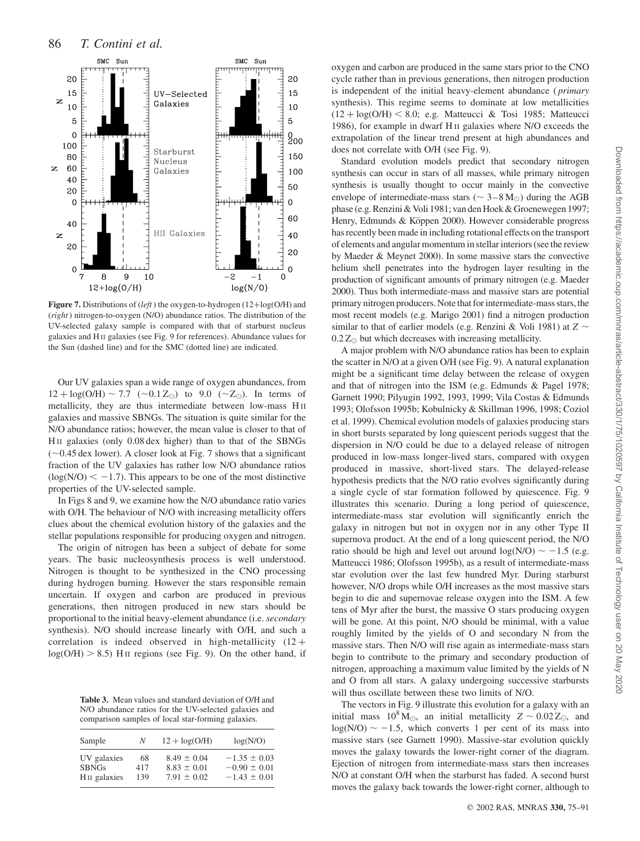

Figure 7. Distributions of (left) the oxygen-to-hydrogen (12+ $log(O/H)$ ) and (right) nitrogen-to-oxygen (N/O) abundance ratios. The distribution of the UV-selected galaxy sample is compared with that of starburst nucleus galaxies and H II galaxies (see Fig. 9 for references). Abundance values for the Sun (dashed line) and for the SMC (dotted line) are indicated.

Our UV galaxies span a wide range of oxygen abundances, from  $12 + \log(O/H) \sim 7.7$  ( $\sim 0.1 Z_{\odot}$ ) to 9.0 ( $\sim Z_{\odot}$ ). In terms of metallicity, they are thus intermediate between low-mass H II galaxies and massive SBNGs. The situation is quite similar for the N/O abundance ratios; however, the mean value is closer to that of H II galaxies (only 0.08 dex higher) than to that of the SBNGs  $(\sim 0.45$  dex lower). A closer look at Fig. 7 shows that a significant fraction of the UV galaxies has rather low N/O abundance ratios  $\log(N/O) < -1.7$ ). This appears to be one of the most distinctive properties of the UV-selected sample.

In Figs 8 and 9, we examine how the N/O abundance ratio varies with O/H. The behaviour of N/O with increasing metallicity offers clues about the chemical evolution history of the galaxies and the stellar populations responsible for producing oxygen and nitrogen.

The origin of nitrogen has been a subject of debate for some years. The basic nucleosynthesis process is well understood. Nitrogen is thought to be synthesized in the CNO processing during hydrogen burning. However the stars responsible remain uncertain. If oxygen and carbon are produced in previous generations, then nitrogen produced in new stars should be proportional to the initial heavy-element abundance (i.e. secondary synthesis). N/O should increase linearly with O/H, and such a correlation is indeed observed in high-metallicity  $(12 +$  $log(O/H) > 8.5)$  H<sub>II</sub> regions (see Fig. 9). On the other hand, if

Table 3. Mean values and standard deviation of O/H and N/O abundance ratios for the UV-selected galaxies and comparison samples of local star-forming galaxies.

| Sample                   | N   | $12 + \log(O/H)$ | log(N/O)         |
|--------------------------|-----|------------------|------------------|
| UV galaxies              | 68  | $8.49 \pm 0.04$  | $-1.35 \pm 0.03$ |
| <b>SBNGs</b>             | 417 | $8.83 \pm 0.01$  | $-0.90 \pm 0.01$ |
| H <sub>II</sub> galaxies | 139 | $7.91 \pm 0.02$  | $-1.43 \pm 0.01$ |

oxygen and carbon are produced in the same stars prior to the CNO cycle rather than in previous generations, then nitrogen production is independent of the initial heavy-element abundance ( primary synthesis). This regime seems to dominate at low metallicities  $(12 + \log(O/H) < 8.0$ ; e.g. Matteucci & Tosi 1985; Matteucci 1986), for example in dwarf H II galaxies where N/O exceeds the extrapolation of the linear trend present at high abundances and does not correlate with O/H (see Fig. 9).

Standard evolution models predict that secondary nitrogen synthesis can occur in stars of all masses, while primary nitrogen synthesis is usually thought to occur mainly in the convective envelope of intermediate-mass stars ( $\sim 3-8$  M<sub>☉</sub>) during the AGB phase (e.g. Renzini & Voli 1981; van den Hoek & Groenewegen 1997; Henry, Edmunds & Köppen 2000). However considerable progress has recently been made in including rotational effects on the transport of elements and angular momentum in stellar interiors (see the review by Maeder & Meynet 2000). In some massive stars the convective helium shell penetrates into the hydrogen layer resulting in the production of significant amounts of primary nitrogen (e.g. Maeder 2000). Thus both intermediate-mass and massive stars are potential primary nitrogen producers. Note that for intermediate-mass stars, the most recent models (e.g. Marigo 2001) find a nitrogen production similar to that of earlier models (e.g. Renzini & Voli 1981) at  $Z \sim$  $0.2 Z_{\odot}$  but which decreases with increasing metallicity.

A major problem with N/O abundance ratios has been to explain the scatter in N/O at a given O/H (see Fig. 9). A natural explanation might be a significant time delay between the release of oxygen and that of nitrogen into the ISM (e.g. Edmunds & Pagel 1978; Garnett 1990; Pilyugin 1992, 1993, 1999; Vila Costas & Edmunds 1993; Olofsson 1995b; Kobulnicky & Skillman 1996, 1998; Coziol et al. 1999). Chemical evolution models of galaxies producing stars in short bursts separated by long quiescent periods suggest that the dispersion in N/O could be due to a delayed release of nitrogen produced in low-mass longer-lived stars, compared with oxygen produced in massive, short-lived stars. The delayed-release hypothesis predicts that the N/O ratio evolves significantly during a single cycle of star formation followed by quiescence. Fig. 9 illustrates this scenario. During a long period of quiescence, intermediate-mass star evolution will significantly enrich the galaxy in nitrogen but not in oxygen nor in any other Type II supernova product. At the end of a long quiescent period, the N/O ratio should be high and level out around  $log(N/O) \sim -1.5$  (e.g. Matteucci 1986; Olofsson 1995b), as a result of intermediate-mass star evolution over the last few hundred Myr. During starburst however, N/O drops while O/H increases as the most massive stars begin to die and supernovae release oxygen into the ISM. A few tens of Myr after the burst, the massive O stars producing oxygen will be gone. At this point, N/O should be minimal, with a value roughly limited by the yields of O and secondary N from the massive stars. Then N/O will rise again as intermediate-mass stars begin to contribute to the primary and secondary production of nitrogen, approaching a maximum value limited by the yields of N and O from all stars. A galaxy undergoing successive starbursts will thus oscillate between these two limits of N/O.

The vectors in Fig. 9 illustrate this evolution for a galaxy with an initial mass  $10^8$  M<sub> $\odot$ </sub>, an initial metallicity  $Z \sim 0.02$  Z<sub> $\odot$ </sub>, and  $log(N/O) \sim -1.5$ , which converts 1 per cent of its mass into massive stars (see Garnett 1990). Massive-star evolution quickly moves the galaxy towards the lower-right corner of the diagram. Ejection of nitrogen from intermediate-mass stars then increases N/O at constant O/H when the starburst has faded. A second burst moves the galaxy back towards the lower-right corner, although to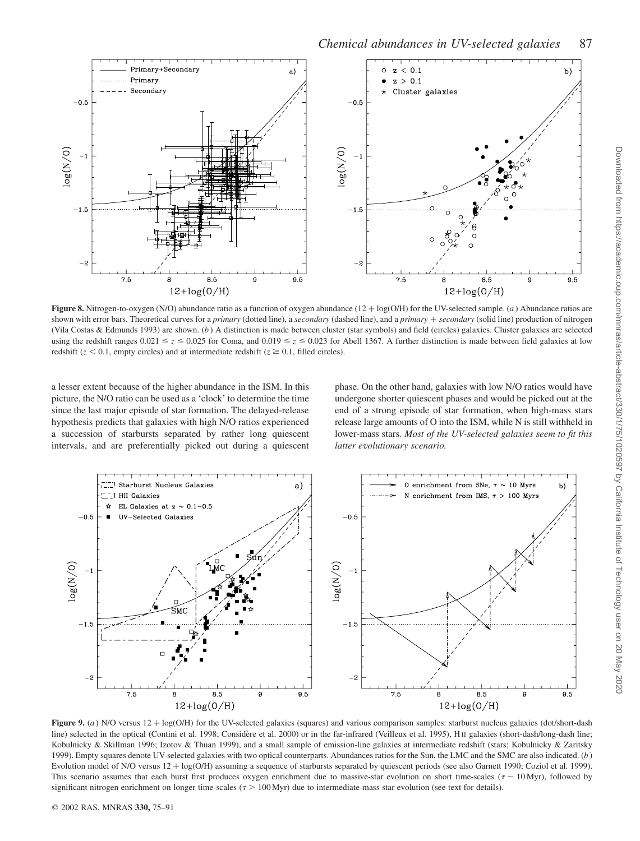

Figure 8. Nitrogen-to-oxygen (N/O) abundance ratio as a function of oxygen abundance  $(12 + \log(O/H))$  for the UV-selected sample. (a) Abundance ratios are shown with error bars. Theoretical curves for a primary (dotted line), a secondary (dashed line), and a primary + secondary (solid line) production of nitrogen (Vila Costas & Edmunds 1993) are shown. (b ) A distinction is made between cluster (star symbols) and field (circles) galaxies. Cluster galaxies are selected using the redshift ranges  $0.021 \le z \le 0.025$  for Coma, and  $0.019 \le z \le 0.023$  for Abell 1367. A further distinction is made between field galaxies at low redshift ( $z < 0.1$ , empty circles) and at intermediate redshift ( $z \ge 0.1$ , filled circles).

a lesser extent because of the higher abundance in the ISM. In this picture, the N/O ratio can be used as a 'clock' to determine the time since the last major episode of star formation. The delayed-release hypothesis predicts that galaxies with high N/O ratios experienced a succession of starbursts separated by rather long quiescent intervals, and are preferentially picked out during a quiescent

phase. On the other hand, galaxies with low N/O ratios would have undergone shorter quiescent phases and would be picked out at the end of a strong episode of star formation, when high-mass stars release large amounts of O into the ISM, while N is still withheld in lower-mass stars. Most of the UV-selected galaxies seem to fit this latter evolutionary scenario.



Figure 9. (a) N/O versus  $12 + \log(O/H)$  for the UV-selected galaxies (squares) and various comparison samples: starburst nucleus galaxies (dot/short-dash line) selected in the optical (Contini et al. 1998; Considère et al. 2000) or in the far-infrared (Veilleux et al. 1995), H II galaxies (short-dash/long-dash line; Kobulnicky & Skillman 1996; Izotov & Thuan 1999), and a small sample of emission-line galaxies at intermediate redshift (stars; Kobulnicky & Zaritsky 1999). Empty squares denote UV-selected galaxies with two optical counterparts. Abundances ratios for the Sun, the LMC and the SMC are also indicated. (b ) Evolution model of N/O versus 12 + log(O/H) assuming a sequence of starbursts separated by quiescent periods (see also Garnett 1990; Coziol et al. 1999). This scenario assumes that each burst first produces oxygen enrichment due to massive-star evolution on short time-scales  $(\tau \sim 10 \text{ Myr})$ , followed by significant nitrogen enrichment on longer time-scales  $(7 > 100 \text{ Myr})$  due to intermediate-mass star evolution (see text for details).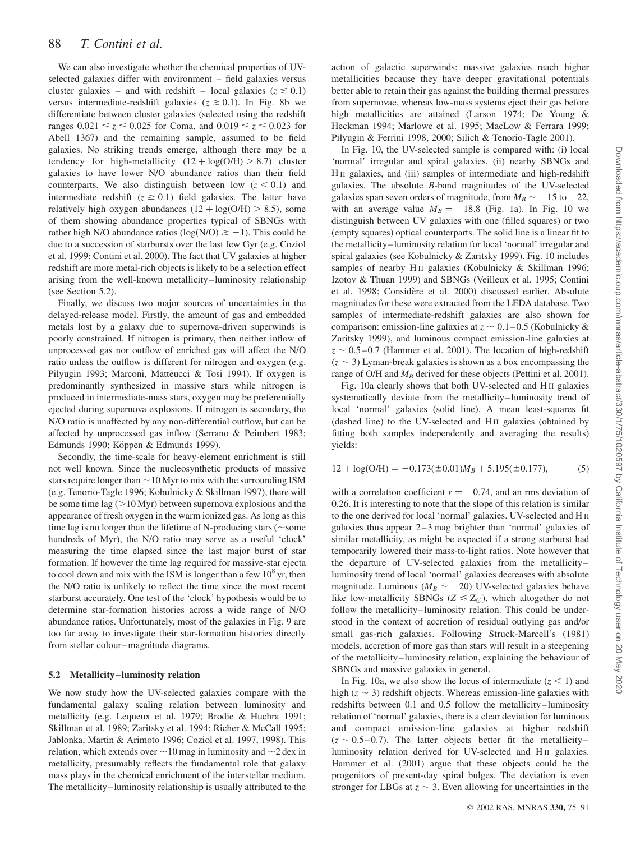We can also investigate whether the chemical properties of UVselected galaxies differ with environment – field galaxies versus cluster galaxies – and with redshift – local galaxies ( $z \le 0.1$ ) versus intermediate-redshift galaxies  $(z \ge 0.1)$ . In Fig. 8b we differentiate between cluster galaxies (selected using the redshift ranges  $0.021 \le z \le 0.025$  for Coma, and  $0.019 \le z \le 0.023$  for Abell 1367) and the remaining sample, assumed to be field galaxies. No striking trends emerge, although there may be a tendency for high-metallicity  $(12 + log(O/H) > 8.7)$  cluster galaxies to have lower N/O abundance ratios than their field counterparts. We also distinguish between low  $(z < 0.1)$  and intermediate redshift  $(z \ge 0.1)$  field galaxies. The latter have relatively high oxygen abundances  $(12 + \log(O/H) > 8.5)$ , some of them showing abundance properties typical of SBNGs with rather high N/O abundance ratios ( $log(N/O) \ge -1$ ). This could be due to a succession of starbursts over the last few Gyr (e.g. Coziol et al. 1999; Contini et al. 2000). The fact that UV galaxies at higher redshift are more metal-rich objects is likely to be a selection effect arising from the well-known metallicity–luminosity relationship (see Section 5.2).

Finally, we discuss two major sources of uncertainties in the delayed-release model. Firstly, the amount of gas and embedded metals lost by a galaxy due to supernova-driven superwinds is poorly constrained. If nitrogen is primary, then neither inflow of unprocessed gas nor outflow of enriched gas will affect the N/O ratio unless the outflow is different for nitrogen and oxygen (e.g. Pilyugin 1993; Marconi, Matteucci & Tosi 1994). If oxygen is predominantly synthesized in massive stars while nitrogen is produced in intermediate-mass stars, oxygen may be preferentially ejected during supernova explosions. If nitrogen is secondary, the N/O ratio is unaffected by any non-differential outflow, but can be affected by unprocessed gas inflow (Serrano & Peimbert 1983; Edmunds 1990; Köppen & Edmunds 1999).

Secondly, the time-scale for heavy-element enrichment is still not well known. Since the nucleosynthetic products of massive stars require longer than  $\sim$  10 Myr to mix with the surrounding ISM (e.g. Tenorio-Tagle 1996; Kobulnicky & Skillman 1997), there will be some time lag  $(>10$  Myr) between supernova explosions and the appearance of fresh oxygen in the warm ionized gas. As long as this time lag is no longer than the lifetime of N-producing stars ( $\sim$ some hundreds of Myr), the N/O ratio may serve as a useful 'clock' measuring the time elapsed since the last major burst of star formation. If however the time lag required for massive-star ejecta to cool down and mix with the ISM is longer than a few  $10^8$  yr, then the N/O ratio is unlikely to reflect the time since the most recent starburst accurately. One test of the 'clock' hypothesis would be to determine star-formation histories across a wide range of N/O abundance ratios. Unfortunately, most of the galaxies in Fig. 9 are too far away to investigate their star-formation histories directly from stellar colour–magnitude diagrams.

#### 5.2 Metallicity–luminosity relation

We now study how the UV-selected galaxies compare with the fundamental galaxy scaling relation between luminosity and metallicity (e.g. Lequeux et al. 1979; Brodie & Huchra 1991; Skillman et al. 1989; Zaritsky et al. 1994; Richer & McCall 1995; Jablonka, Martin & Arimoto 1996; Coziol et al. 1997, 1998). This relation, which extends over  $\sim$  10 mag in luminosity and  $\sim$  2 dex in metallicity, presumably reflects the fundamental role that galaxy mass plays in the chemical enrichment of the interstellar medium. The metallicity–luminosity relationship is usually attributed to the

action of galactic superwinds; massive galaxies reach higher metallicities because they have deeper gravitational potentials better able to retain their gas against the building thermal pressures from supernovae, whereas low-mass systems eject their gas before high metallicities are attained (Larson 1974; De Young & Heckman 1994; Marlowe et al. 1995; MacLow & Ferrara 1999; Pilyugin & Ferrini 1998, 2000; Silich & Tenorio-Tagle 2001).

In Fig. 10, the UV-selected sample is compared with: (i) local 'normal' irregular and spiral galaxies, (ii) nearby SBNGs and H II galaxies, and (iii) samples of intermediate and high-redshift galaxies. The absolute B-band magnitudes of the UV-selected galaxies span seven orders of magnitude, from  $M_B \sim -15$  to  $-22$ , with an average value  $M_B = -18.8$  (Fig. 1a). In Fig. 10 we distinguish between UV galaxies with one (filled squares) or two (empty squares) optical counterparts. The solid line is a linear fit to the metallicity–luminosity relation for local 'normal' irregular and spiral galaxies (see Kobulnicky & Zaritsky 1999). Fig. 10 includes samples of nearby H<sub>II</sub> galaxies (Kobulnicky & Skillman 1996; Izotov & Thuan 1999) and SBNGs (Veilleux et al. 1995; Contini et al. 1998; Considère et al. 2000) discussed earlier. Absolute magnitudes for these were extracted from the LEDA database. Two samples of intermediate-redshift galaxies are also shown for comparison: emission-line galaxies at  $z \sim 0.1-0.5$  (Kobulnicky & Zaritsky 1999), and luminous compact emission-line galaxies at  $z \sim 0.5$ –0.7 (Hammer et al. 2001). The location of high-redshift  $(z \sim 3)$  Lyman-break galaxies is shown as a box encompassing the range of O/H and  $M_B$  derived for these objects (Pettini et al. 2001).

Fig. 10a clearly shows that both UV-selected and H II galaxies systematically deviate from the metallicity–luminosity trend of local 'normal' galaxies (solid line). A mean least-squares fit (dashed line) to the UV-selected and H II galaxies (obtained by fitting both samples independently and averaging the results) yields:

 $12 + \log(O/H) = -0.173(\pm 0.01)M_B + 5.195(\pm 0.177)$ , (5)

with a correlation coefficient  $r = -0.74$ , and an rms deviation of 0.26. It is interesting to note that the slope of this relation is similar to the one derived for local 'normal' galaxies. UV-selected and H II galaxies thus appear 2–3 mag brighter than 'normal' galaxies of similar metallicity, as might be expected if a strong starburst had temporarily lowered their mass-to-light ratios. Note however that the departure of UV-selected galaxies from the metallicity– luminosity trend of local 'normal' galaxies decreases with absolute magnitude. Luminous ( $M_B \sim -20$ ) UV-selected galaxies behave like low-metallicity SBNGs ( $Z \leq Z_{\odot}$ ), which altogether do not follow the metallicity–luminosity relation. This could be understood in the context of accretion of residual outlying gas and/or small gas-rich galaxies. Following Struck-Marcell's (1981) models, accretion of more gas than stars will result in a steepening of the metallicity–luminosity relation, explaining the behaviour of SBNGs and massive galaxies in general.

In Fig. 10a, we also show the locus of intermediate  $(z < 1)$  and high  $(z \sim 3)$  redshift objects. Whereas emission-line galaxies with redshifts between 0.1 and 0.5 follow the metallicity–luminosity relation of 'normal' galaxies, there is a clear deviation for luminous and compact emission-line galaxies at higher redshift  $(z \sim 0.5-0.7)$ . The latter objects better fit the metallicity– luminosity relation derived for UV-selected and H<sub>II</sub> galaxies. Hammer et al. (2001) argue that these objects could be the progenitors of present-day spiral bulges. The deviation is even stronger for LBGs at  $z \sim 3$ . Even allowing for uncertainties in the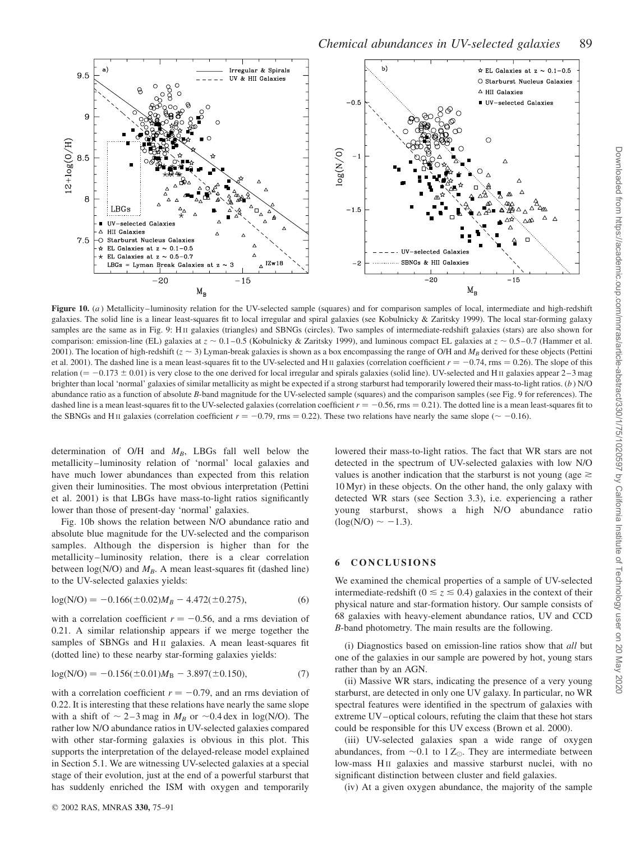

Chemical abundances in UV-selected galaxies 89

Figure 10. (a) Metallicity–luminosity relation for the UV-selected sample (squares) and for comparison samples of local, intermediate and high-redshift galaxies. The solid line is a linear least-squares fit to local irregular and spiral galaxies (see Kobulnicky & Zaritsky 1999). The local star-forming galaxy samples are the same as in Fig. 9: HII galaxies (triangles) and SBNGs (circles). Two samples of intermediate-redshift galaxies (stars) are also shown for comparison: emission-line (EL) galaxies at  $z \sim 0.1 - 0.5$  (Kobulnicky & Zaritsky 1999), and luminous compact EL galaxies at  $z \sim 0.5 - 0.7$  (Hammer et al. 2001). The location of high-redshift  $(z \sim 3)$  Lyman-break galaxies is shown as a box encompassing the range of O/H and  $M_B$  derived for these objects (Pettini et al. 2001). The dashed line is a mean least-squares fit to the UV-selected and H<sub>II</sub> galaxies (correlation coefficient  $r = -0.74$ , rms = 0.26). The slope of this relation  $(4 - 0.173 \pm 0.01)$  is very close to the one derived for local irregular and spirals galaxies (solid line). UV-selected and H<sub>II</sub> galaxies appear 2–3 mag brighter than local 'normal' galaxies of similar metallicity as might be expected if a strong starburst had temporarily lowered their mass-to-light ratios. (b) N/O abundance ratio as a function of absolute B-band magnitude for the UV-selected sample (squares) and the comparison samples (see Fig. 9 for references). The dashed line is a mean least-squares fit to the UV-selected galaxies (correlation coefficient  $r = -0.56$ , rms  $= 0.21$ ). The dotted line is a mean least-squares fit to the SBNGs and H<sub>II</sub> galaxies (correlation coefficient  $r = -0.79$ , rms = 0.22). These two relations have nearly the same slope ( $\sim -0.16$ ).

determination of O/H and  $M_B$ , LBGs fall well below the metallicity–luminosity relation of 'normal' local galaxies and have much lower abundances than expected from this relation given their luminosities. The most obvious interpretation (Pettini et al. 2001) is that LBGs have mass-to-light ratios significantly lower than those of present-day 'normal' galaxies.

Fig. 10b shows the relation between N/O abundance ratio and absolute blue magnitude for the UV-selected and the comparison samples. Although the dispersion is higher than for the metallicity–luminosity relation, there is a clear correlation between  $log(N/O)$  and  $M_B$ . A mean least-squares fit (dashed line) to the UV-selected galaxies yields:

$$
log(N/O) = -0.166(\pm 0.02)M_B - 4.472(\pm 0.275),
$$
\n(6)

with a correlation coefficient  $r = -0.56$ , and a rms deviation of 0.21. A similar relationship appears if we merge together the samples of SBNGs and H<sub>II</sub> galaxies. A mean least-squares fit (dotted line) to these nearby star-forming galaxies yields:

$$
log(N/O) = -0.156(\pm 0.01)MB - 3.897(\pm 0.150),
$$
\n(7)

with a correlation coefficient  $r = -0.79$ , and an rms deviation of 0.22. It is interesting that these relations have nearly the same slope with a shift of  $\sim$  2–3 mag in  $M_B$  or  $\sim$  0.4 dex in log(N/O). The rather low N/O abundance ratios in UV-selected galaxies compared with other star-forming galaxies is obvious in this plot. This supports the interpretation of the delayed-release model explained in Section 5.1. We are witnessing UV-selected galaxies at a special stage of their evolution, just at the end of a powerful starburst that has suddenly enriched the ISM with oxygen and temporarily

lowered their mass-to-light ratios. The fact that WR stars are not detected in the spectrum of UV-selected galaxies with low N/O values is another indication that the starburst is not young (age  $\geq$  $10 \text{ Myr}$ ) in these objects. On the other hand, the only galaxy with detected WR stars (see Section 3.3), i.e. experiencing a rather young starburst, shows a high N/O abundance ratio  $(\log(N/O) \sim -1.3)$ .

## 6 CONCLUSIONS

We examined the chemical properties of a sample of UV-selected intermediate-redshift ( $0 \le z \le 0.4$ ) galaxies in the context of their physical nature and star-formation history. Our sample consists of 68 galaxies with heavy-element abundance ratios, UV and CCD B-band photometry. The main results are the following.

(i) Diagnostics based on emission-line ratios show that all but one of the galaxies in our sample are powered by hot, young stars rather than by an AGN.

(ii) Massive WR stars, indicating the presence of a very young starburst, are detected in only one UV galaxy. In particular, no WR spectral features were identified in the spectrum of galaxies with extreme UV–optical colours, refuting the claim that these hot stars could be responsible for this UV excess (Brown et al. 2000).

(iii) UV-selected galaxies span a wide range of oxygen abundances, from  $\sim 0.1$  to 1  $Z_{\odot}$ . They are intermediate between low-mass H<sub>II</sub> galaxies and massive starburst nuclei, with no significant distinction between cluster and field galaxies.

(iv) At a given oxygen abundance, the majority of the sample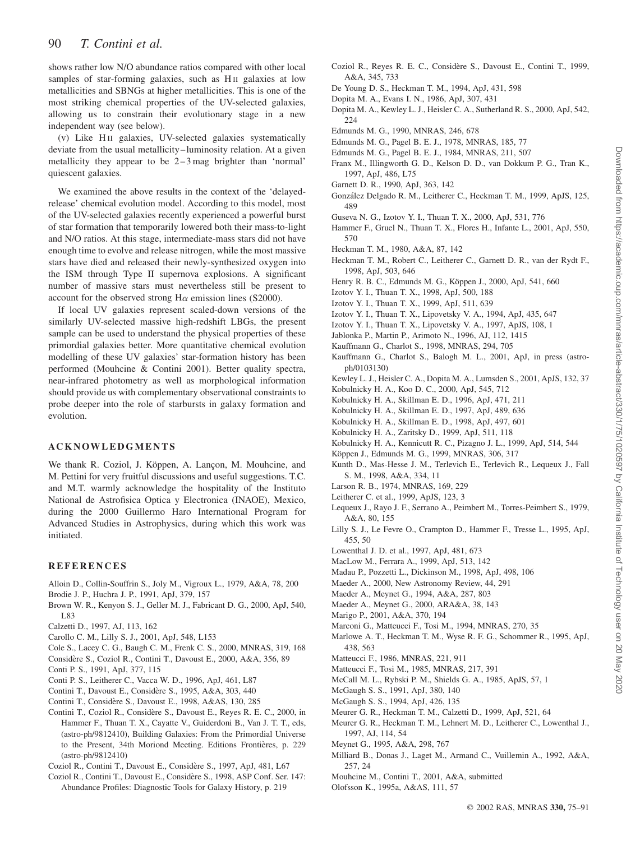shows rather low N/O abundance ratios compared with other local samples of star-forming galaxies, such as H<sub>II</sub> galaxies at low metallicities and SBNGs at higher metallicities. This is one of the most striking chemical properties of the UV-selected galaxies, allowing us to constrain their evolutionary stage in a new independent way (see below).

(v) Like H<sub>II</sub> galaxies, UV-selected galaxies systematically deviate from the usual metallicity–luminosity relation. At a given metallicity they appear to be 2–3 mag brighter than 'normal' quiescent galaxies.

We examined the above results in the context of the 'delayedrelease' chemical evolution model. According to this model, most of the UV-selected galaxies recently experienced a powerful burst of star formation that temporarily lowered both their mass-to-light and N/O ratios. At this stage, intermediate-mass stars did not have enough time to evolve and release nitrogen, while the most massive stars have died and released their newly-synthesized oxygen into the ISM through Type II supernova explosions. A significant number of massive stars must nevertheless still be present to account for the observed strong H $\alpha$  emission lines (S2000).

If local UV galaxies represent scaled-down versions of the similarly UV-selected massive high-redshift LBGs, the present sample can be used to understand the physical properties of these primordial galaxies better. More quantitative chemical evolution modelling of these UV galaxies' star-formation history has been performed (Mouhcine & Contini 2001). Better quality spectra, near-infrared photometry as well as morphological information should provide us with complementary observational constraints to probe deeper into the role of starbursts in galaxy formation and evolution.

## ACKNOWLEDGMENTS

We thank R. Coziol, J. Köppen, A. Lancon, M. Mouhcine, and M. Pettini for very fruitful discussions and useful suggestions. T.C. and M.T. warmly acknowledge the hospitality of the Instituto National de Astrofisica Optica y Electronica (INAOE), Mexico, during the 2000 Guillermo Haro International Program for Advanced Studies in Astrophysics, during which this work was initiated.

#### REFERENCES

- Alloin D., Collin-Souffrin S., Joly M., Vigroux L., 1979, A&A, 78, 200 Brodie J. P., Huchra J. P., 1991, ApJ, 379, 157
- Brown W. R., Kenyon S. J., Geller M. J., Fabricant D. G., 2000, ApJ, 540, L83
- Calzetti D., 1997, AJ, 113, 162
- Carollo C. M., Lilly S. J., 2001, ApJ, 548, L153
- Cole S., Lacey C. G., Baugh C. M., Frenk C. S., 2000, MNRAS, 319, 168
- Considère S., Coziol R., Contini T., Davoust E., 2000, A&A, 356, 89
- Conti P. S., 1991, ApJ, 377, 115
- Conti P. S., Leitherer C., Vacca W. D., 1996, ApJ, 461, L87
- Contini T., Davoust E., Conside`re S., 1995, A&A, 303, 440
- Contini T., Conside`re S., Davoust E., 1998, A&AS, 130, 285
- Contini T., Coziol R., Conside`re S., Davoust E., Reyes R. E. C., 2000, in Hammer F., Thuan T. X., Cayatte V., Guiderdoni B., Van J. T. T., eds, (astro-ph/9812410), Building Galaxies: From the Primordial Universe to the Present, 34th Moriond Meeting. Editions Frontières, p. 229 (astro-ph/9812410)
- Coziol R., Contini T., Davoust E., Considère S., 1997, ApJ, 481, L67
- Coziol R., Contini T., Davoust E., Considère S., 1998, ASP Conf. Ser. 147: Abundance Profiles: Diagnostic Tools for Galaxy History, p. 219
- Coziol R., Reyes R. E. C., Considère S., Davoust E., Contini T., 1999, A&A, 345, 733
- De Young D. S., Heckman T. M., 1994, ApJ, 431, 598
- Dopita M. A., Evans I. N., 1986, ApJ, 307, 431
- Dopita M. A., Kewley L. J., Heisler C. A., Sutherland R. S., 2000, ApJ, 542, 224
- Edmunds M. G., 1990, MNRAS, 246, 678
- Edmunds M. G., Pagel B. E. J., 1978, MNRAS, 185, 77
- Edmunds M. G., Pagel B. E. J., 1984, MNRAS, 211, 507
- Franx M., Illingworth G. D., Kelson D. D., van Dokkum P. G., Tran K., 1997, ApJ, 486, L75
- Garnett D. R., 1990, ApJ, 363, 142
- Gonza´lez Delgado R. M., Leitherer C., Heckman T. M., 1999, ApJS, 125, 489
- Guseva N. G., Izotov Y. I., Thuan T. X., 2000, ApJ, 531, 776
- Hammer F., Gruel N., Thuan T. X., Flores H., Infante L., 2001, ApJ, 550, 570
- Heckman T. M., 1980, A&A, 87, 142
- Heckman T. M., Robert C., Leitherer C., Garnett D. R., van der Rydt F., 1998, ApJ, 503, 646
- Henry R. B. C., Edmunds M. G., Köppen J., 2000, ApJ, 541, 660
- Izotov Y. I., Thuan T. X., 1998, ApJ, 500, 188
- Izotov Y. I., Thuan T. X., 1999, ApJ, 511, 639
- Izotov Y. I., Thuan T. X., Lipovetsky V. A., 1994, ApJ, 435, 647
- Izotov Y. I., Thuan T. X., Lipovetsky V. A., 1997, ApJS, 108, 1
- Jablonka P., Martin P., Arimoto N., 1996, AJ, 112, 1415
- Kauffmann G., Charlot S., 1998, MNRAS, 294, 705
- Kauffmann G., Charlot S., Balogh M. L., 2001, ApJ, in press (astroph/0103130)
- Kewley L. J., Heisler C. A., Dopita M. A., Lumsden S., 2001, ApJS, 132, 37
- Kobulnicky H. A., Koo D. C., 2000, ApJ, 545, 712
- Kobulnicky H. A., Skillman E. D., 1996, ApJ, 471, 211
- Kobulnicky H. A., Skillman E. D., 1997, ApJ, 489, 636
- Kobulnicky H. A., Skillman E. D., 1998, ApJ, 497, 601
- Kobulnicky H. A., Zaritsky D., 1999, ApJ, 511, 118
- Kobulnicky H. A., Kennicutt R. C., Pizagno J. L., 1999, ApJ, 514, 544
- Köppen J., Edmunds M. G., 1999, MNRAS, 306, 317
- Kunth D., Mas-Hesse J. M., Terlevich E., Terlevich R., Lequeux J., Fall S. M., 1998, A&A, 334, 11
- Larson R. B., 1974, MNRAS, 169, 229
- Leitherer C. et al., 1999, ApJS, 123, 3
- Lequeux J., Rayo J. F., Serrano A., Peimbert M., Torres-Peimbert S., 1979, A&A, 80, 155
- Lilly S. J., Le Fevre O., Crampton D., Hammer F., Tresse L., 1995, ApJ, 455, 50
- Lowenthal J. D. et al., 1997, ApJ, 481, 673
- MacLow M., Ferrara A., 1999, ApJ, 513, 142
- Madau P., Pozzetti L., Dickinson M., 1998, ApJ, 498, 106
- Maeder A., 2000, New Astronomy Review, 44, 291
- Maeder A., Meynet G., 1994, A&A, 287, 803
- Maeder A., Meynet G., 2000, ARA&A, 38, 143
- Marigo P., 2001, A&A, 370, 194
- Marconi G., Matteucci F., Tosi M., 1994, MNRAS, 270, 35
- Marlowe A. T., Heckman T. M., Wyse R. F. G., Schommer R., 1995, ApJ, 438, 563
- Matteucci F., 1986, MNRAS, 221, 911
- Matteucci F., Tosi M., 1985, MNRAS, 217, 391
- McCall M. L., Rybski P. M., Shields G. A., 1985, ApJS, 57, 1
- McGaugh S. S., 1991, ApJ, 380, 140
- McGaugh S. S., 1994, ApJ, 426, 135
- Meurer G. R., Heckman T. M., Calzetti D., 1999, ApJ, 521, 64
- Meurer G. R., Heckman T. M., Lehnert M. D., Leitherer C., Lowenthal J., 1997, AJ, 114, 54
- Meynet G., 1995, A&A, 298, 767
- Milliard B., Donas J., Laget M., Armand C., Vuillemin A., 1992, A&A, 257, 24
- Mouhcine M., Contini T., 2001, A&A, submitted
- Olofsson K., 1995a, A&AS, 111, 57